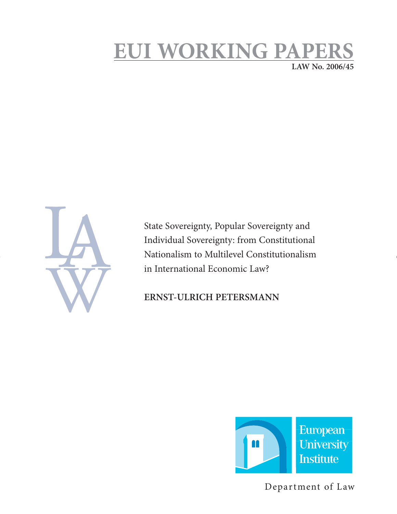# **EUI WORKING PAPEI LAW No. 2006/45**



State Sovereignty, Popular Sovereignty and Individual Sovereignty: from Constitutional Nationalism to Multilevel Constitutionalism in International Economic Law?

## **ERNST-ULRICH PETERSMANN**



Department of Law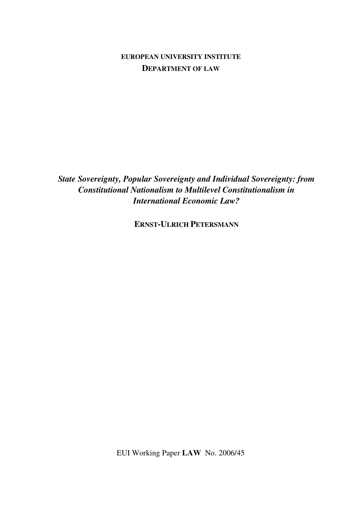**EUROPEAN UNIVERSITY INSTITUTE DEPARTMENT OF LAW**

*State Sovereignty, Popular Sovereignty and Individual Sovereignty: from Constitutional Nationalism to Multilevel Constitutionalism in International Economic Law?* 

**ERNST-ULRICH PETERSMANN**

EUI Working Paper **LAW** No. 2006/45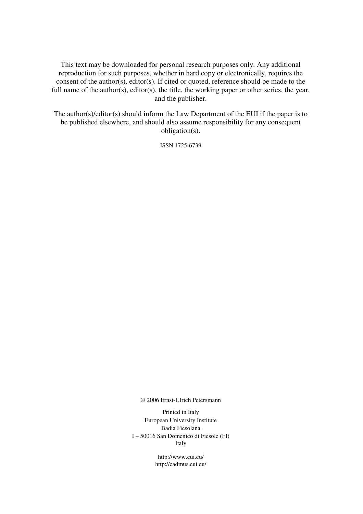This text may be downloaded for personal research purposes only. Any additional reproduction for such purposes, whether in hard copy or electronically, requires the consent of the author(s), editor(s). If cited or quoted, reference should be made to the full name of the author(s), editor(s), the title, the working paper or other series, the year, and the publisher.

The author(s)/editor(s) should inform the Law Department of the EUI if the paper is to be published elsewhere, and should also assume responsibility for any consequent obligation(s).

ISSN 1725-6739

© 2006 Ernst-Ulrich Petersmann

Printed in Italy European University Institute Badia Fiesolana I – 50016 San Domenico di Fiesole (FI) Italy

> http://www.eui.eu/ http://cadmus.eui.eu/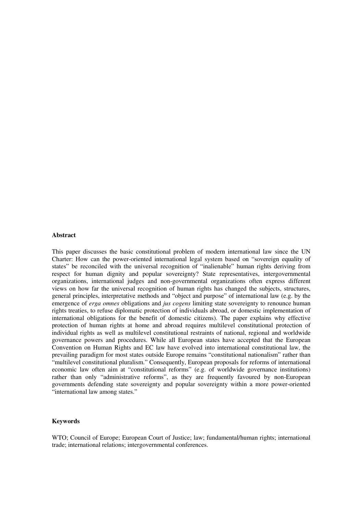#### **Abstract**

This paper discusses the basic constitutional problem of modern international law since the UN Charter: How can the power-oriented international legal system based on "sovereign equality of states" be reconciled with the universal recognition of "inalienable" human rights deriving from respect for human dignity and popular sovereignty? State representatives, intergovernmental organizations, international judges and non-governmental organizations often express different views on how far the universal recognition of human rights has changed the subjects, structures, general principles, interpretative methods and "object and purpose" of international law (e.g. by the emergence of *erga omnes* obligations and *jus cogens* limiting state sovereignty to renounce human rights treaties, to refuse diplomatic protection of individuals abroad, or domestic implementation of international obligations for the benefit of domestic citizens). The paper explains why effective protection of human rights at home and abroad requires multilevel constitutional protection of individual rights as well as multilevel constitutional restraints of national, regional and worldwide governance powers and procedures. While all European states have accepted that the European Convention on Human Rights and EC law have evolved into international constitutional law, the prevailing paradigm for most states outside Europe remains "constitutional nationalism" rather than "multilevel constitutional pluralism." Consequently, European proposals for reforms of international economic law often aim at "constitutional reforms" (e.g. of worldwide governance institutions) rather than only "administrative reforms", as they are frequently favoured by non-European governments defending state sovereignty and popular sovereignty within a more power-oriented "international law among states."

#### **Keywords**

WTO; Council of Europe; European Court of Justice; law; fundamental/human rights; international trade; international relations; intergovernmental conferences.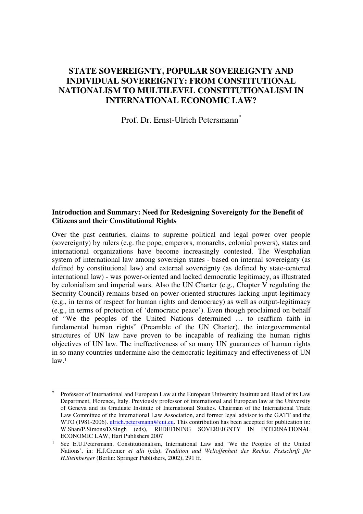## **STATE SOVEREIGNTY, POPULAR SOVEREIGNTY AND INDIVIDUAL SOVEREIGNTY: FROM CONSTITUTIONAL NATIONALISM TO MULTILEVEL CONSTITUTIONALISM IN INTERNATIONAL ECONOMIC LAW?**

Prof. Dr. Ernst-Ulrich Petersmann<sup>\*</sup>

## **Introduction and Summary: Need for Redesigning Sovereignty for the Benefit of Citizens and their Constitutional Rights**

Over the past centuries, claims to supreme political and legal power over people (sovereignty) by rulers (e.g. the pope, emperors, monarchs, colonial powers), states and international organizations have become increasingly contested. The Westphalian system of international law among sovereign states - based on internal sovereignty (as defined by constitutional law) and external sovereignty (as defined by state-centered international law) - was power-oriented and lacked democratic legitimacy, as illustrated by colonialism and imperial wars. Also the UN Charter (e.g., Chapter V regulating the Security Council) remains based on power-oriented structures lacking input-legitimacy (e.g., in terms of respect for human rights and democracy) as well as output-legitimacy (e.g., in terms of protection of 'democratic peace'). Even though proclaimed on behalf of "We the peoples of the United Nations determined … to reaffirm faith in fundamental human rights" (Preamble of the UN Charter), the intergovernmental structures of UN law have proven to be incapable of realizing the human rights objectives of UN law. The ineffectiveness of so many UN guarantees of human rights in so many countries undermine also the democratic legitimacy and effectiveness of UN  $law<sup>1</sup>$ 

<sup>\*</sup> Professor of International and European Law at the European University Institute and Head of its Law Department, Florence, Italy. Previously professor of international and European law at the University of Geneva and its Graduate Institute of International Studies. Chairman of the International Trade Law Committee of the International Law Association, and former legal advisor to the GATT and the WTO (1981-2006). ulrich.petersmann@eui.eu. This contribution has been accepted for publication in: W.Shan/P.Simons/D.Singh (eds), REDEFINING SOVEREIGNTY IN INTERNATIONAL ECONOMIC LAW, Hart Publishers 2007

<sup>1</sup> See E.U.Petersmann, Constitutionalism, International Law and 'We the Peoples of the United Nations', in: H.J.Cremer *et alii* (eds), *Tradition und Weltoffenheit des Rechts. Festschrift für H.Steinberger* (Berlin: Springer Publishers, 2002), 291 ff.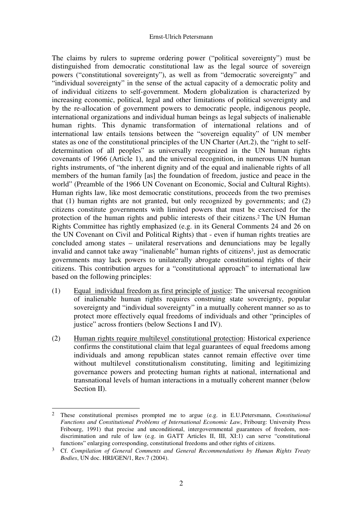The claims by rulers to supreme ordering power ("political sovereignty") must be distinguished from democratic constitutional law as the legal source of sovereign powers ("constitutional sovereignty"), as well as from "democratic sovereignty" and "individual sovereignty" in the sense of the actual capacity of a democratic polity and of individual citizens to self-government. Modern globalization is characterized by increasing economic, political, legal and other limitations of political sovereignty and by the re-allocation of government powers to democratic people, indigenous people, international organizations and individual human beings as legal subjects of inalienable human rights. This dynamic transformation of international relations and of international law entails tensions between the "sovereign equality" of UN member states as one of the constitutional principles of the UN Charter (Art.2), the "right to selfdetermination of all peoples" as universally recognized in the UN human rights covenants of 1966 (Article 1), and the universal recognition, in numerous UN human rights instruments, of "the inherent dignity and of the equal and inalienable rights of all members of the human family [as] the foundation of freedom, justice and peace in the world" (Preamble of the 1966 UN Covenant on Economic, Social and Cultural Rights). Human rights law, like most democratic constitutions, proceeds from the two premises that (1) human rights are not granted, but only recognized by governments; and (2) citizens constitute governments with limited powers that must be exercised for the protection of the human rights and public interests of their citizens. <sup>2</sup> The UN Human Rights Committee has rightly emphasized (e.g. in its General Comments 24 and 26 on the UN Covenant on Civil and Political Rights) that - even if human rights treaties are concluded among states – unilateral reservations and denunciations may be legally invalid and cannot take away "inalienable" human rights of citizens<sup>3</sup>, just as democratic governments may lack powers to unilaterally abrogate constitutional rights of their citizens. This contribution argues for a "constitutional approach" to international law based on the following principles:

- (1) Equal individual freedom as first principle of justice: The universal recognition of inalienable human rights requires construing state sovereignty, popular sovereignty and "individual sovereignty" in a mutually coherent manner so as to protect more effectively equal freedoms of individuals and other "principles of justice" across frontiers (below Sections I and IV).
- (2) Human rights require multilevel constitutional protection: Historical experience confirms the constitutional claim that legal guarantees of equal freedoms among individuals and among republican states cannot remain effective over time without multilevel constitutionalism constituting, limiting and legitimizing governance powers and protecting human rights at national, international and transnational levels of human interactions in a mutually coherent manner (below Section II).

<sup>2</sup> These constitutional premises prompted me to argue (e.g. in E.U.Petersmann, *Constitutional Functions and Constitutional Problems of International Economic Law*, Fribourg: University Press Fribourg, 1991) that precise and unconditional, intergovernmental guarantees of freedom, nondiscrimination and rule of law (e.g. in GATT Articles II, III, XI:1) can serve "constitutional functions" enlarging corresponding, constitutional freedoms and other rights of citizens.

<sup>3</sup> Cf. *Compilation of General Comments and General Recommendations by Human Rights Treaty Bodies*, UN doc. HRI/GEN/1, Rev.7 (2004).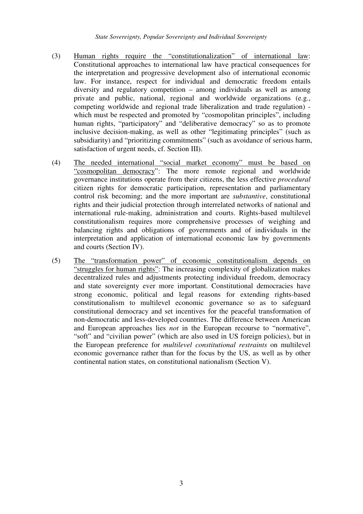- (3) Human rights require the "constitutionalization" of international law: Constitutional approaches to international law have practical consequences for the interpretation and progressive development also of international economic law. For instance, respect for individual and democratic freedom entails diversity and regulatory competition – among individuals as well as among private and public, national, regional and worldwide organizations (e.g., competing worldwide and regional trade liberalization and trade regulation) which must be respected and promoted by "cosmopolitan principles", including human rights, "participatory" and "deliberative democracy" so as to promote inclusive decision-making, as well as other "legitimating principles" (such as subsidiarity) and "prioritizing commitments" (such as avoidance of serious harm, satisfaction of urgent needs, cf. Section III).
- (4) The needed international "social market economy" must be based on "cosmopolitan democracy": The more remote regional and worldwide governance institutions operate from their citizens, the less effective *procedural* citizen rights for democratic participation, representation and parliamentary control risk becoming; and the more important are *substantive*, constitutional rights and their judicial protection through interrelated networks of national and international rule-making, administration and courts. Rights-based multilevel constitutionalism requires more comprehensive processes of weighing and balancing rights and obligations of governments and of individuals in the interpretation and application of international economic law by governments and courts (Section IV).
- (5) The "transformation power" of economic constitutionalism depends on "struggles for human rights": The increasing complexity of globalization makes decentralized rules and adjustments protecting individual freedom, democracy and state sovereignty ever more important. Constitutional democracies have strong economic, political and legal reasons for extending rights-based constitutionalism to multilevel economic governance so as to safeguard constitutional democracy and set incentives for the peaceful transformation of non-democratic and less-developed countries. The difference between American and European approaches lies *not* in the European recourse to "normative", "soft" and "civilian power" (which are also used in US foreign policies), but in the European preference for *multilevel constitutional restraints* on multilevel economic governance rather than for the focus by the US, as well as by other continental nation states, on constitutional nationalism (Section V).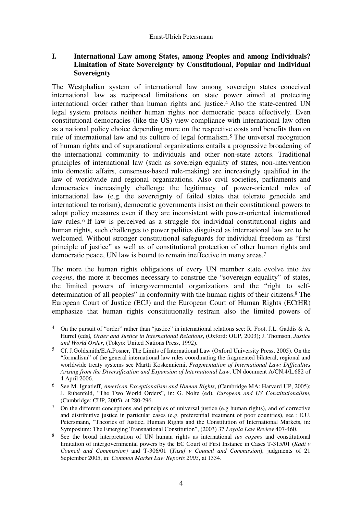## **I. International Law among States, among Peoples and among Individuals? Limitation of State Sovereignty by Constitutional, Popular and Individual Sovereignty**

The Westphalian system of international law among sovereign states conceived international law as reciprocal limitations on state power aimed at protecting international order rather than human rights and justice.4 Also the state-centred UN legal system protects neither human rights nor democratic peace effectively. Even constitutional democracies (like the US) view compliance with international law often as a national policy choice depending more on the respective costs and benefits than on rule of international law and its culture of legal formalism.<sup>5</sup> The universal recognition of human rights and of supranational organizations entails a progressive broadening of the international community to individuals and other non-state actors. Traditional principles of international law (such as sovereign equality of states, non-intervention into domestic affairs, consensus-based rule-making) are increasingly qualified in the law of worldwide and regional organizations. Also civil societies, parliaments and democracies increasingly challenge the legitimacy of power-oriented rules of international law (e.g. the sovereignty of failed states that tolerate genocide and international terrorism); democratic governments insist on their constitutional powers to adopt policy measures even if they are inconsistent with power-oriented international law rules.<sup>6</sup> If law is perceived as a struggle for individual constitutional rights and human rights, such challenges to power politics disguised as international law are to be welcomed. Without stronger constitutional safeguards for individual freedom as "first principle of justice" as well as of constitutional protection of other human rights and democratic peace, UN law is bound to remain ineffective in many areas.<sup>7</sup>

The more the human rights obligations of every UN member state evolve into *ius cogens*, the more it becomes necessary to construe the "sovereign equality" of states, the limited powers of intergovernmental organizations and the "right to selfdetermination of all peoples" in conformity with the human rights of their citizens.<sup>8</sup> The European Court of Justice (ECJ) and the European Court of Human Rights (ECtHR) emphasize that human rights constitutionally restrain also the limited powers of

<sup>4</sup> On the pursuit of "order" rather than "justice" in international relations see: R. Foot, J.L. Gaddis & A. Hurrel (eds*), Order and Justice in International Relations*, (Oxford: OUP, 2003); J. Thomson, *Justice and World Order*, (Tokyo: United Nations Press, 1992).

<sup>5</sup> Cf. J.Goldsmith/E.A.Posner, The Limits of International Law (Oxford University Press, 2005). On the "formalism" of the general international law rules coordinating the fragmented bilateral, regional and worldwide treaty systems see Martti Koskenniemi, *Fragmentation of International Law: Difficulties Arising from the Diversification and Expansion of International Law*, UN document A/CN.4/L.682 of 4 April 2006.

<sup>6</sup> See M. Ignatieff, *American Exceptionalism and Human Rights*, (Cambridge MA: Harvard UP, 2005); J. Rubenfeld, "The Two World Orders", in: G. Nolte (ed), *European and US Constitutionalism*, (Cambridge: CUP, 2005), at 280-296.

<sup>7</sup> On the different conceptions and principles of universal justice (e.g human rights), and of corrective and distributive justice in particular cases (e.g. preferential treatment of poor countries), see : E.U. Petersmann, "Theories of Justice, Human Rights and the Constitution of International Markets, in: Symposium: The Emerging Transnational Constitution", (2003) 37 *Loyola Law Review* 407-460.

<sup>8</sup> See the broad interpretation of UN human rights as international *ius cogens* and constitutional limitation of intergovernmental powers by the EC Court of First Instance in Cases T-315/01 (*Kadi v Council and Commission)* and T-306/01 (*Yusuf v Council and Commission*), judgments of 21 September 2005, in: *Common Market Law Reports 2005*, at 1334.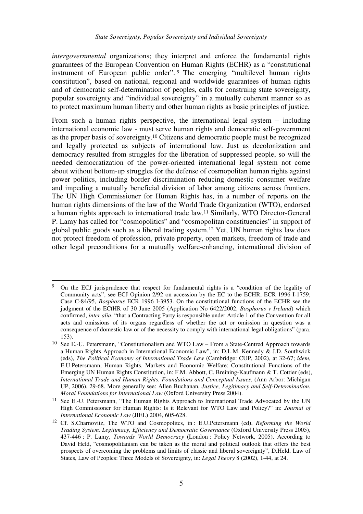*intergovernmental* organizations; they interpret and enforce the fundamental rights guarantees of the European Convention on Human Rights (ECHR) as a "constitutional instrument of European public order". <sup>9</sup> The emerging "multilevel human rights constitution", based on national, regional and worldwide guarantees of human rights and of democratic self-determination of peoples, calls for construing state sovereignty, popular sovereignty and "individual sovereignty" in a mutually coherent manner so as to protect maximum human liberty and other human rights as basic principles of justice.

From such a human rights perspective, the international legal system – including international economic law - must serve human rights and democratic self-government as the proper basis of sovereignty.10 Citizens and democratic people must be recognized and legally protected as subjects of international law. Just as decolonization and democracy resulted from struggles for the liberation of suppressed people, so will the needed democratization of the power-oriented international legal system not come about without bottom-up struggles for the defense of cosmopolitan human rights against power politics, including border discrimination reducing domestic consumer welfare and impeding a mutually beneficial division of labor among citizens across frontiers. The UN High Commissioner for Human Rights has, in a number of reports on the human rights dimensions of the law of the World Trade Organization (WTO), endorsed a human rights approach to international trade law.11 Similarly, WTO Director-General P. Lamy has called for "cosmopolitics" and "cosmopolitan constituencies" in support of global public goods such as a liberal trading system.12 Yet, UN human rights law does not protect freedom of profession, private property, open markets, freedom of trade and other legal preconditions for a mutually welfare-enhancing, international division of

<sup>9</sup> On the ECJ jurisprudence that respect for fundamental rights is a "condition of the legality of Community acts", see ECJ Opinion 2/92 on accession by the EC to the ECHR, ECR 1996 I-1759; Case C-84/95, *Bosphorus* ECR 1996 I-3953. On the constitutional functions of the ECHR see the judgment of the ECtHR of 30 June 2005 (Application No 6422/2002, *Bosphorus v Ireland*) which confirmed, *inter alia*, "that a Contracting Party is responsible under Article 1 of the Convention for all acts and omissions of its organs regardless of whether the act or omission in question was a consequence of domestic law or of the necessity to comply with international legal obligations" (para. 153).

<sup>10</sup> See E.-U. Petersmann, "Constitutionalism and WTO Law – From a State-Centred Approach towards a Human Rights Approach in International Economic Law", in: D.L.M. Kennedy & J.D. Southwick (eds), *The Political Economy of International Trade Law* (Cambridge: CUP, 2002), at 32-67; *idem*, E.U.Petersmann, Human Rights, Markets and Economic Welfare: Constitutional Functions of the Emerging UN Human Rights Constitution, in: F.M. Abbott, C. Breining-Kaufmann & T. Cottier (eds), *International Trade and Human Rights. Foundations and Conceptual Issues*, (Ann Arbor: Michigan UP, 2006), 29-68. More generally see: Allen Buchanan, *Justice, Legitimacy and Self-Determination. Moral Foundations for International Law* (Oxford University Press 2004).

<sup>&</sup>lt;sup>11</sup> See E.-U. Petersmann, "The Human Rights Approach to International Trade Advocated by the UN High Commissioner for Human Rights: Is it Relevant for WTO Law and Policy?" in: *Journal of International Economic Law* (JIEL) 2004, 605-628.

<sup>12</sup> Cf. S.Charnovitz, The WTO and Cosmopolitcs, in : E.U.Petersmann (ed), *Reforming the World Trading System. Legitimacy, Efficiency and Democratic Governance* (Oxford University Press 2005), 437-446 ; P. Lamy, *Towards World Democracy* (London : Policy Network, 2005). According to David Held, "cosmopolitanism can be taken as the moral and political outlook that offers the best prospects of overcoming the problems and limits of classic and liberal sovereignty", D.Held, Law of States, Law of Peoples: Three Models of Sovereignty, in: *Legal Theory* 8 (2002), 1-44, at 24.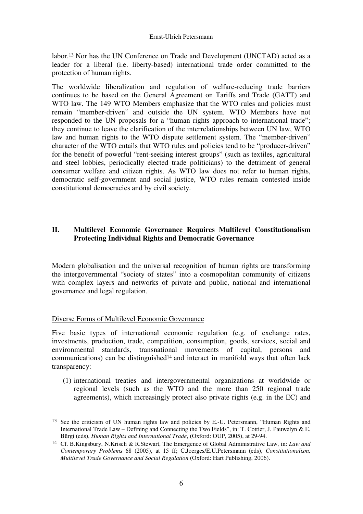labor.13 Nor has the UN Conference on Trade and Development (UNCTAD) acted as a leader for a liberal (i.e. liberty-based) international trade order committed to the protection of human rights.

The worldwide liberalization and regulation of welfare-reducing trade barriers continues to be based on the General Agreement on Tariffs and Trade (GATT) and WTO law. The 149 WTO Members emphasize that the WTO rules and policies must remain "member-driven" and outside the UN system. WTO Members have not responded to the UN proposals for a "human rights approach to international trade"; they continue to leave the clarification of the interrelationships between UN law, WTO law and human rights to the WTO dispute settlement system. The "member-driven" character of the WTO entails that WTO rules and policies tend to be "producer-driven" for the benefit of powerful "rent-seeking interest groups" (such as textiles, agricultural and steel lobbies, periodically elected trade politicians) to the detriment of general consumer welfare and citizen rights. As WTO law does not refer to human rights, democratic self-government and social justice, WTO rules remain contested inside constitutional democracies and by civil society.

## **II. Multilevel Economic Governance Requires Multilevel Constitutionalism Protecting Individual Rights and Democratic Governance**

Modern globalisation and the universal recognition of human rights are transforming the intergovernmental "society of states" into a cosmopolitan community of citizens with complex layers and networks of private and public, national and international governance and legal regulation.

## Diverse Forms of Multilevel Economic Governance

-

Five basic types of international economic regulation (e.g. of exchange rates, investments, production, trade, competition, consumption, goods, services, social and environmental standards, transnational movements of capital, persons and communications) can be distinguished<sup>14</sup> and interact in manifold ways that often lack transparency:

(1) international treaties and intergovernmental organizations at worldwide or regional levels (such as the WTO and the more than 250 regional trade agreements), which increasingly protect also private rights (e.g. in the EC) and

<sup>&</sup>lt;sup>13</sup> See the criticism of UN human rights law and policies by E.-U. Petersmann, "Human Rights and International Trade Law – Defining and Connecting the Two Fields", in: T. Cottier, J. Pauwelyn & E. Bürgi (eds), *Human Rights and International Trade*, (Oxford: OUP, 2005), at 29-94.

<sup>14</sup> Cf. B.Kingsbury, N.Krisch & R.Stewart, The Emergence of Global Administrative Law, in: *Law and Contemporary Problems* 68 (2005), at 15 ff; C.Joerges/E.U.Petersmann (eds), *Constitutionalism, Multilevel Trade Governance and Social Regulation* (Oxford: Hart Publishing, 2006).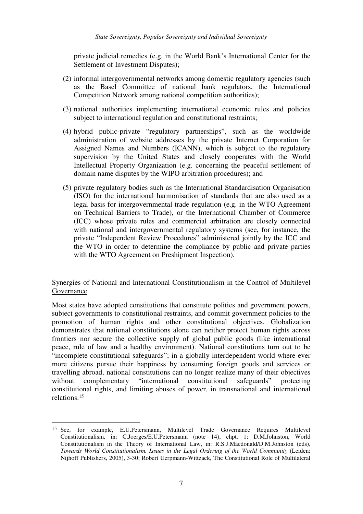private judicial remedies (e.g. in the World Bank's International Center for the Settlement of Investment Disputes);

- (2) informal intergovernmental networks among domestic regulatory agencies (such as the Basel Committee of national bank regulators, the International Competition Network among national competition authorities);
- (3) national authorities implementing international economic rules and policies subject to international regulation and constitutional restraints;
- (4) hybrid public-private "regulatory partnerships", such as the worldwide administration of website addresses by the private Internet Corporation for Assigned Names and Numbers (ICANN), which is subject to the regulatory supervision by the United States and closely cooperates with the World Intellectual Property Organization (e.g. concerning the peaceful settlement of domain name disputes by the WIPO arbitration procedures); and
- (5) private regulatory bodies such as the International Standardisation Organisation (ISO) for the international harmonisation of standards that are also used as a legal basis for intergovernmental trade regulation (e.g. in the WTO Agreement on Technical Barriers to Trade), or the International Chamber of Commerce (ICC) whose private rules and commercial arbitration are closely connected with national and intergovernmental regulatory systems (see, for instance, the private "Independent Review Procedures" administered jointly by the ICC and the WTO in order to determine the compliance by public and private parties with the WTO Agreement on Preshipment Inspection).

## Synergies of National and International Constitutionalism in the Control of Multilevel Governance

Most states have adopted constitutions that constitute polities and government powers, subject governments to constitutional restraints, and commit government policies to the promotion of human rights and other constitutional objectives. Globalization demonstrates that national constitutions alone can neither protect human rights across frontiers nor secure the collective supply of global public goods (like international peace, rule of law and a healthy environment). National constitutions turn out to be "incomplete constitutional safeguards"; in a globally interdependent world where ever more citizens pursue their happiness by consuming foreign goods and services or travelling abroad, national constitutions can no longer realize many of their objectives without complementary "international constitutional safeguards" protecting constitutional rights, and limiting abuses of power, in transnational and international relations.<sup>15</sup>

<sup>15</sup> See, for example, E.U.Petersmann, Multilevel Trade Governance Requires Multilevel Constitutionalism, in: C.Joerges/E.U.Petersmann (note 14), chpt. 1; D.M.Johnston, World Constitutionalism in the Theory of International Law, in: R.S.J.Macdonald/D.M.Johnston (eds), *Towards World Constitutionalism. Issues in the Legal Ordering of the World Community* (Leiden: Nijhoff Publishers, 2005), 3-30; Robert Uerpmann-Wittzack, The Constitutional Role of Multilateral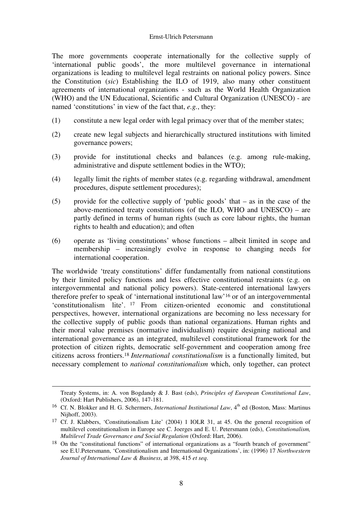The more governments cooperate internationally for the collective supply of 'international public goods', the more multilevel governance in international organizations is leading to multilevel legal restraints on national policy powers. Since the Constitution (*sic*) Establishing the ILO of 1919, also many other constituent agreements of international organizations - such as the World Health Organization (WHO) and the UN Educational, Scientific and Cultural Organization (UNESCO) - are named 'constitutions' in view of the fact that, *e.g.*, they:

- (1) constitute a new legal order with legal primacy over that of the member states;
- (2) create new legal subjects and hierarchically structured institutions with limited governance powers;
- (3) provide for institutional checks and balances (e.g. among rule-making, administrative and dispute settlement bodies in the WTO);
- (4) legally limit the rights of member states (e.g. regarding withdrawal, amendment procedures, dispute settlement procedures);
- (5) provide for the collective supply of 'public goods' that as in the case of the above-mentioned treaty constitutions (of the ILO, WHO and UNESCO) – are partly defined in terms of human rights (such as core labour rights, the human rights to health and education); and often
- (6) operate as 'living constitutions' whose functions albeit limited in scope and membership – increasingly evolve in response to changing needs for international cooperation.

The worldwide 'treaty constitutions' differ fundamentally from national constitutions by their limited policy functions and less effective constitutional restraints (e.g. on intergovernmental and national policy powers). State-centered international lawyers therefore prefer to speak of 'international institutional law' <sup>16</sup> or of an intergovernmental 'constitutionalism lite'. <sup>17</sup> From citizen-oriented economic and constitutional perspectives, however, international organizations are becoming no less necessary for the collective supply of public goods than national organizations. Human rights and their moral value premises (normative individualism) require designing national and international governance as an integrated, multilevel constitutional framework for the protection of citizen rights, democratic self-government and cooperation among free citizens across frontiers.<sup>18</sup> *International constitutionalism* is a functionally limited, but necessary complement to *national constitutionalism* which, only together, can protect

Treaty Systems, in: A. von Bogdandy & J. Bast (eds), *Principles of European Constitutional Law*, (Oxford: Hart Publishers, 2006), 147-181.

<sup>&</sup>lt;sup>16</sup> Cf. N. Blokker and H. G. Schermers, *International Institutional Law*, 4<sup>th</sup> ed (Boston, Mass: Martinus Nijhoff, 2003).

<sup>&</sup>lt;sup>17</sup> Cf. J. Klabbers, 'Constitutionalism Lite' (2004) 1 IOLR 31, at 45. On the general recognition of multilevel constitutionalism in Europe see C. Joerges and E. U. Petersmann (eds), *Constitutionalism, Multilevel Trade Governance and Social Regulation* (Oxford: Hart, 2006).

<sup>18</sup> On the "constitutional functions" of international organizations as a "fourth branch of government" see E.U.Petersmann, 'Constitutionalism and International Organizations', in: (1996) 17 *Northwestern Journal of International Law & Business*, at 398, 415 *et seq*.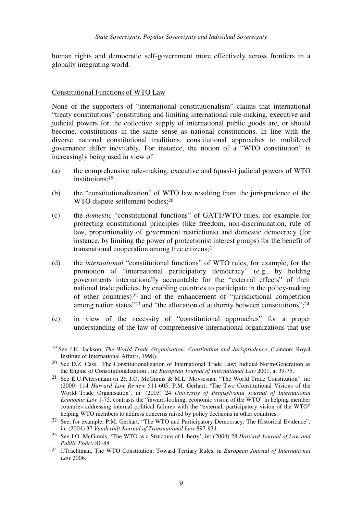human rights and democratic self-government more effectively across frontiers in a globally integrating world.

#### Constitutional Functions of WTO Law

j

None of the supporters of "international constitutionalism" claims that international "treaty constitutions" constituting and limiting international rule-making, executive and judicial powers for the collective supply of international public goods are, or should become, constitutions in the same sense as national constitutions. In line with the diverse national constitutional traditions, constitutional approaches to multilevel governance differ inevitably. For instance, the notion of a "WTO constitution" is increasingly being used in view of

- (a) the comprehensive rule-making, executive and (quasi-) judicial powers of WTO institutions:<sup>19</sup>
- (b) the "constitutionalization" of WTO law resulting from the jurisprudence of the WTO dispute settlement bodies;<sup>20</sup>
- (c) the *domestic* "constitutional functions" of GATT/WTO rules, for example for protecting constitutional principles (like freedom, non-discrimination, rule of law, proportionality of government restrictions) and domestic democracy (for instance, by limiting the power of protectionist interest groups) for the benefit of transnational cooperation among free citizens;<sup>21</sup>
- (d) the *international* "constitutional functions" of WTO rules, for example, for the promotion of "international participatory democracy" (e.g., by holding governments internationally accountable for the "external effects" of their national trade policies, by enabling countries to participate in the policy-making of other countries) <sup>22</sup> and of the enhancement of "jurisdictional competition among nation states"<sup>23</sup> and "the allocation of authority between constitutions";<sup>24</sup>
- (e) in view of the necessity of "constitutional approaches" for a proper understanding of the law of comprehensive international organizations that use

<sup>19</sup> See J.H. Jackson, *The World Trade Organisation: Constitution and Jurisprudence*, (London: Royal Institute of International Affairs, 1998).

<sup>20</sup> See D.Z. Cass, 'The Constitutionalization of International Trade Law: Judicial Norm-Generation as the Engine of Constitutionalization', in: *European Journal of International Law* 2001, at 39-75.

<sup>21</sup> See E.U.Petersmann (n 2); J.O. McGinnis & M.L. Movsesian, "The World Trade Constitution", in: (2000) 114 *Harvard Law Review* 511-605; P.M. Gerhart, 'The Two Constitutional Visions of the World Trade Organisation', in: (2003) 24 *University of Pennsylvania Journal of International Economic Law* 1-75, contrasts the "inward-looking, economic vision of the WTO" in helping member countries addressing internal political failures with the "external, participatory vision of the WTO" helping WTO members to address concerns raised by policy decisions in other countries.

<sup>&</sup>lt;sup>22</sup> See, for example, P.M. Gerhart, "The WTO and Participatory Democracy: The Historical Evidence", in: (2004) 37 *Vanderbilt Journal of Transnational Law* 897-934.

<sup>23</sup> See J.O. McGinnis, 'The WTO as a Structure of Liberty', in: (2004) 28 *Harvard Journal of Law and Public Policy* 81-88.

<sup>24</sup> J.Trachtman, The WTO Constitution: Toward Tertiary Rules, in *European Journal of International Law* 2006.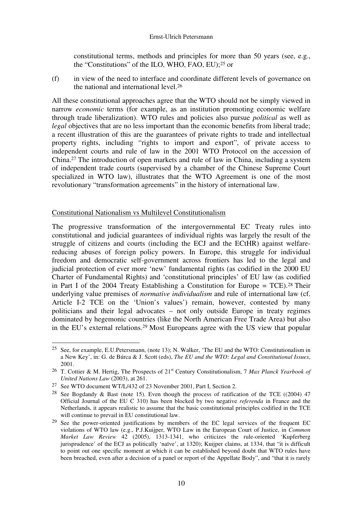constitutional terms, methods and principles for more than 50 years (see, e.g., the "Constitutions" of the ILO, WHO, FAO, EU);25 or

(f) in view of the need to interface and coordinate different levels of governance on the national and international level.<sup>26</sup>

All these constitutional approaches agree that the WTO should not be simply viewed in narrow *economic* terms (for example, as an institution promoting economic welfare through trade liberalization). WTO rules and policies also pursue *political* as well as *legal* objectives that are no less important than the economic benefits from liberal trade; a recent illustration of this are the guarantees of private rights to trade and intellectual property rights, including "rights to import and export", of private access to independent courts and rule of law in the 2001 WTO Protocol on the accession of China.27 The introduction of open markets and rule of law in China, including a system of independent trade courts (supervised by a chamber of the Chinese Supreme Court specialized in WTO law), illustrates that the WTO Agreement is one of the most revolutionary "transformation agreements" in the history of international law.

## Constitutional Nationalism vs Multilevel Constitutionalism

The progressive transformation of the intergovernmental EC Treaty rules into constitutional and judicial guarantees of individual rights was largely the result of the struggle of citizens and courts (including the ECJ and the ECtHR) against welfarereducing abuses of foreign policy powers. In Europe, this struggle for individual freedom and democratic self-government across frontiers has led to the legal and judicial protection of ever more 'new' fundamental rights (as codified in the 2000 EU Charter of Fundamental Rights) and 'constitutional principles' of EU law (as codified in Part I of the 2004 Treaty Establishing a Constitution for Europe =  $TCE$ ).<sup>28</sup> Their underlying value premises of *normative individualism* and rule of international law (cf. Article I-2 TCE on the 'Union's values') remain, however, contested by many politicians and their legal advocates – not only outside Europe in treaty regimes dominated by hegemonic countries (like the North American Free Trade Area) but also in the EU's external relations.29 Most Europeans agree with the US view that popular

<sup>25</sup> See, for example, E.U.Petersmann, (note 13); N. Walker, 'The EU and the WTO: Constitutionalism in a New Key', in: G. de Búrca & J. Scott (eds), *The EU and the WTO: Legal and Constitutional Issues*, 2001.

<sup>26</sup> T. Cottier & M. Hertig, The Prospects of 21st Century Constitutionalism, 7 *Max Planck Yearbook of United Nations Law* (2003), at 261.

<sup>27</sup> See WTO document WT/L/432 of 23 November 2001, Part I, Section 2.

<sup>&</sup>lt;sup>28</sup> See Bogdandy & Bast (note 15). Even though the process of ratification of the TCE ((2004) 47 Official Journal of the EU C 310) has been blocked by two negative *referenda* in France and the Netherlands, it appears realistic to assume that the basic constitutional principles codified in the TCE will continue to prevail in EU constitutional law.

<sup>&</sup>lt;sup>29</sup> See the power-oriented justifications by members of the EC legal services of the frequent EC violations of WTO law (e.g., P.J.Kuijper, WTO Law in the European Court of Justice, in *Common Market Law Review* 42 (2005), 1313-1341, who criticizes the rule-oriented 'Kupferberg jurisprudence' of the ECJ as politically 'naïve', at 1320); Kuijper claims, at 1334, that "it is difficult to point out one specific moment at which it can be established beyond doubt that WTO rules have been breached, even after a decision of a panel or report of the Appellate Body", and "that it is rarely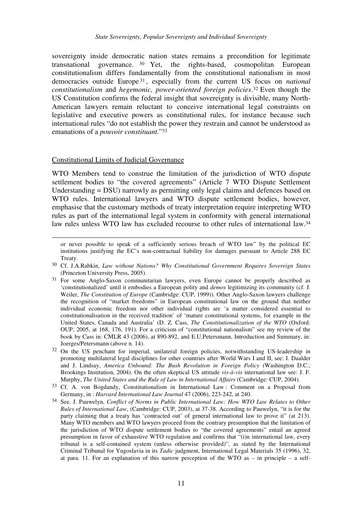sovereignty inside democratic nation states remains a precondition for legitimate transnational governance. <sup>30</sup> Yet, the rights-based, cosmopolitan European constitutionalism differs fundamentally from the constitutional nationalism in most democracies outside Europe <sup>31</sup> , especially from the current US focus on *national constitutionalism* and *hegemonic, power-oriented foreign policies*. <sup>32</sup> Even though the US Constitution confirms the federal insight that sovereignty is divisible, many North-American lawyers remain reluctant to conceive international legal constraints on legislative and executive powers as constitutional rules, for instance because such international rules "do not establish the power they restrain and cannot be understood as emanations of a *pouvoir constituant.*" 33

#### Constitutional Limits of Judicial Governance

-

WTO Members tend to construe the limitation of the jurisdiction of WTO dispute settlement bodies to "the covered agreements" (Article 7 WTO Dispute Settlement Understanding = DSU) narrowly as permitting only legal claims and defences based on WTO rules. International lawyers and WTO dispute settlement bodies, however, emphasise that the customary methods of treaty interpretation require interpreting WTO rules as part of the international legal system in conformity with general international law rules unless WTO law has excluded recourse to other rules of international law.<sup>34</sup>

or never possible to speak of a sufficiently serious breach of WTO law" by the political EC institutions justifying the EC's non-contractual liability for damages pursuant to Article 288 EC Treaty.

<sup>30</sup> Cf. J.A.Rabkin, *Law without Nations? Why Constitutional Government Requires Sovereign States* (Princeton University Press, 2005).

<sup>31</sup> For some Anglo-Saxon communitarian lawyers, even Europe cannot be properly described as 'constitutionalized' until it embodies a European polity and *demos* legitimizing its community (cf. J. Weiler, *The Constitution of Europe* (Cambridge: CUP, 1999)). Other Anglo-Saxon lawyers challenge the recognition of "market freedoms" in European constitutional law on the ground that neither individual economic freedom nor other individual rights are 'a matter considered essential to constitutionalisation in the received tradition' of 'mature constitutional systems, for example in the United States, Canada and Australia' (D. Z. Cass, *The Constitutionalization of the WTO* (Oxford: OUP, 2005, at 168, 176, 191). For a criticism of "constitutional nationalism" see my review of the book by Cass in: CMLR 43 (2006), at 890-892, and E.U.Petersmann, Introduction and Summary, in: Joerges/Petersmann (above n. 14).

<sup>&</sup>lt;sup>32</sup> On the US penchant for imperial, unilateral foreign policies, notwithstanding US-leadership in promoting multilateral legal disciplines for other countries after World Wars I and II, see: I. Daalder and J. Lindsay, *America Unbound: The Bush Revolution in Foreign Policy* (Washington D.C.; Brookings Institution, 2004). On the often skeptical US attitude *vis-à-vis* international law see: J. F. Murphy, *The United States and the Rule of Law in International Affairs* (Cambridge: CUP, 2004).

<sup>33</sup> Cf. A. von Bogdandy, Constitutionalism in International Law : Comment on a Proposal from Germany, in : *Harvard International Law Journal* 47 (2006), 223-242, at 240.

<sup>34</sup> See. J. Pauwelyn, *Conflict of Norms in Public International Law: How WTO Law Relates to Other Rules of International Law*, (Cambridge: CUP, 2003), at 37-38. According to Pauwelyn, "it is for the party claiming that a treaty has 'contracted out' of general international law to prove it" (at 213). Many WTO members and WTO lawyers proceed from the contrary presumption that the limitation of the jurisdiction of WTO dispute settlement bodies to "the covered agreements" entail an agreed presumption in favor of exhaustive WTO regulation and confirms that "(i)n international law, every tribunal is a self-contained system (unless otherwise provided)", as stated by the International Criminal Tribunal for Yugoslavia in its *Tadic* judgment, International Legal Materials 35 (1996), 32, at para. 11. For an explanation of this narrow perception of the WTO as  $-$  in principle  $-$  a self-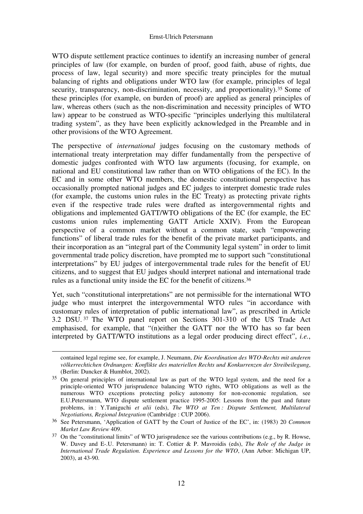WTO dispute settlement practice continues to identify an increasing number of general principles of law (for example, on burden of proof, good faith, abuse of rights, due process of law, legal security) and more specific treaty principles for the mutual balancing of rights and obligations under WTO law (for example, principles of legal security, transparency, non-discrimination, necessity, and proportionality).<sup>35</sup> Some of these principles (for example, on burden of proof) are applied as general principles of law, whereas others (such as the non-discrimination and necessity principles of WTO law) appear to be construed as WTO-specific "principles underlying this multilateral trading system", as they have been explicitly acknowledged in the Preamble and in other provisions of the WTO Agreement.

The perspective of *international* judges focusing on the customary methods of international treaty interpretation may differ fundamentally from the perspective of domestic judges confronted with WTO law arguments (focusing, for example, on national and EU constitutional law rather than on WTO obligations of the EC). In the EC and in some other WTO members, the domestic constitutional perspective has occasionally prompted national judges and EC judges to interpret domestic trade rules (for example, the customs union rules in the EC Treaty) as protecting private rights even if the respective trade rules were drafted as intergovernmental rights and obligations and implemented GATT/WTO obligations of the EC (for example, the EC customs union rules implementing GATT Article XXIV). From the European perspective of a common market without a common state, such "empowering functions" of liberal trade rules for the benefit of the private market participants, and their incorporation as an "integral part of the Community legal system" in order to limit governmental trade policy discretion, have prompted me to support such "constitutional interpretations" by EU judges of intergovernmental trade rules for the benefit of EU citizens, and to suggest that EU judges should interpret national and international trade rules as a functional unity inside the EC for the benefit of citizens.<sup>36</sup>

Yet, such "constitutional interpretations" are not permissible for the international WTO judge who must interpret the intergovernmental WTO rules "in accordance with customary rules of interpretation of public international law", as prescribed in Article 3.2 DSU. <sup>37</sup> The WTO panel report on Sections 301-310 of the US Trade Act emphasised, for example, that "(n)either the GATT nor the WTO has so far been interpreted by GATT/WTO institutions as a legal order producing direct effect", *i.e.*,

contained legal regime see, for example, J. Neumann, *Die Koordination des WTO-Rechts mit anderen völkerrechtichen Ordnungen: Konflikte des materiellen Rechts und Konkurrenzen der Streibeilegung*, (Berlin: Duncker & Humblot, 2002).

<sup>&</sup>lt;sup>35</sup> On general principles of international law as part of the WTO legal system, and the need for a principle-oriented WTO jurisprudence balancing WTO rights, WTO obligations as well as the numerous WTO exceptions protecting policy autonomy for non-economic regulation, see E.U.Petersmann, WTO dispute settlement practice 1995-2005: Lessons from the past and future problems, in : Y.Taniguchi *et alii* (eds), *The WTO at Ten : Dispute Settlement, Multilateral Negotiations, Regional Integration* (Cambridge : CUP 2006).

<sup>36</sup> See Petersmann, 'Application of GATT by the Court of Justice of the EC', in: (1983) 20 *Common Market Law Review* 409.

 $37$  On the "constitutional limits" of WTO jurisprudence see the various contributions (e.g., by R. Howse, W. Davey and E-.U. Petersmann) in: T. Cottier & P. Mavroidis (eds), *The Role of the Judge in International Trade Regulation. Experience and Lessons for the WTO*, (Ann Arbor: Michigan UP, 2003), at 43-90.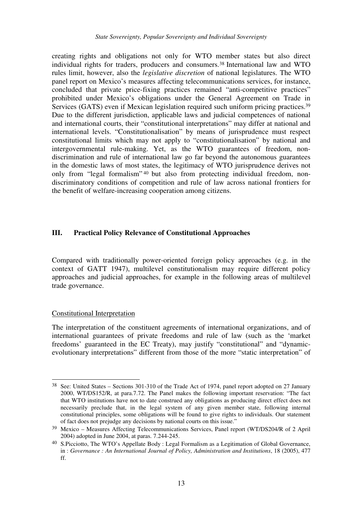creating rights and obligations not only for WTO member states but also direct individual rights for traders, producers and consumers.38 International law and WTO rules limit, however, also the *legislative discretion* of national legislatures. The WTO panel report on Mexico's measures affecting telecommunications services, for instance, concluded that private price-fixing practices remained "anti-competitive practices" prohibited under Mexico's obligations under the General Agreement on Trade in Services (GATS) even if Mexican legislation required such uniform pricing practices.<sup>39</sup> Due to the different jurisdiction, applicable laws and judicial competences of national and international courts, their "constitutional interpretations" may differ at national and international levels. "Constitutionalisation" by means of jurisprudence must respect constitutional limits which may not apply to "constitutionalisation" by national and intergovernmental rule-making. Yet, as the WTO guarantees of freedom, nondiscrimination and rule of international law go far beyond the autonomous guarantees in the domestic laws of most states, the legitimacy of WTO jurisprudence derives not only from "legal formalism" <sup>40</sup> but also from protecting individual freedom, nondiscriminatory conditions of competition and rule of law across national frontiers for the benefit of welfare-increasing cooperation among citizens.

## **III. Practical Policy Relevance of Constitutional Approaches**

Compared with traditionally power-oriented foreign policy approaches (e.g. in the context of GATT 1947), multilevel constitutionalism may require different policy approaches and judicial approaches, for example in the following areas of multilevel trade governance.

#### Constitutional Interpretation

j

The interpretation of the constituent agreements of international organizations, and of international guarantees of private freedoms and rule of law (such as the 'market freedoms' guaranteed in the EC Treaty), may justify "constitutional" and "dynamicevolutionary interpretations" different from those of the more "static interpretation" of

<sup>38</sup> See: United States – Sections 301-310 of the Trade Act of 1974, panel report adopted on 27 January 2000, WT/DS152/R, at para.7.72. The Panel makes the following important reservation: "The fact that WTO institutions have not to date construed any obligations as producing direct effect does not necessarily preclude that, in the legal system of any given member state, following internal constitutional principles, some obligations will be found to give rights to individuals. Our statement of fact does not prejudge any decisions by national courts on this issue."

<sup>39</sup> Mexico – Measures Affecting Telecommunications Services, Panel report (WT/DS204/R of 2 April 2004) adopted in June 2004, at paras. 7.244-245.

<sup>40</sup> S.Picciotto, The WTO's Appellate Body : Legal Formalism as a Legitimation of Global Governance, in : *Governance : An International Journal of Policy, Administration and Institutions*, 18 (2005), 477 ff.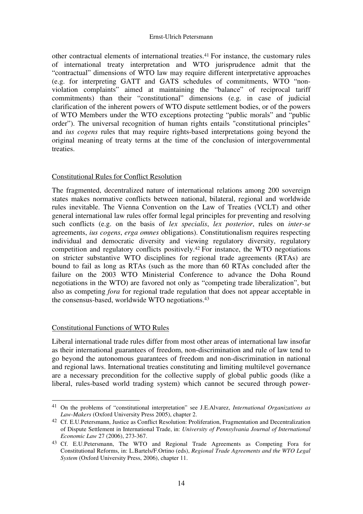other contractual elements of international treaties.41 For instance, the customary rules of international treaty interpretation and WTO jurisprudence admit that the "contractual" dimensions of WTO law may require different interpretative approaches (e.g. for interpreting GATT and GATS schedules of commitments, WTO "nonviolation complaints" aimed at maintaining the "balance" of reciprocal tariff commitments) than their "constitutional" dimensions (e.g. in case of judicial clarification of the inherent powers of WTO dispute settlement bodies, or of the powers of WTO Members under the WTO exceptions protecting "public morals" and "public order"). The universal recognition of human rights entails "constitutional principles" and *ius cogens* rules that may require rights-based interpretations going beyond the original meaning of treaty terms at the time of the conclusion of intergovernmental treaties.

#### Constitutional Rules for Conflict Resolution

The fragmented, decentralized nature of international relations among 200 sovereign states makes normative conflicts between national, bilateral, regional and worldwide rules inevitable. The Vienna Convention on the Law of Treaties (VCLT) and other general international law rules offer formal legal principles for preventing and resolving such conflicts (e.g. on the basis of *lex specialis*, *lex posterior*, rules on *inter-se* agreements, *ius cogens*, *erga omnes* obligations). Constitutionalism requires respecting individual and democratic diversity and viewing regulatory diversity, regulatory competition and regulatory conflicts positively.42 For instance, the WTO negotiations on stricter substantive WTO disciplines for regional trade agreements (RTAs) are bound to fail as long as RTAs (such as the more than 60 RTAs concluded after the failure on the 2003 WTO Ministerial Conference to advance the Doha Round negotiations in the WTO) are favored not only as "competing trade liberalization", but also as competing *fora* for regional trade regulation that does not appear acceptable in the consensus-based, worldwide WTO negotiations.<sup>43</sup>

## Constitutional Functions of WTO Rules

j

Liberal international trade rules differ from most other areas of international law insofar as their international guarantees of freedom, non-discrimination and rule of law tend to go beyond the autonomous guarantees of freedom and non-discrimination in national and regional laws. International treaties constituting and limiting multilevel governance are a necessary precondition for the collective supply of global public goods (like a liberal, rules-based world trading system) which cannot be secured through power-

<sup>41</sup> On the problems of "constitutional interpretation" see J.E.Alvarez, *International Organizations as Law-Makers* (Oxford University Press 2005), chapter 2.

<sup>42</sup> Cf. E.U.Petersmann, Justice as Conflict Resolution: Proliferation, Fragmentation and Decentralization of Dispute Settlement in International Trade, in: *University of Pennsylvania Journal of International Economic Law* 27 (2006), 273-367.

<sup>43</sup> Cf. E.U.Petersmann, The WTO and Regional Trade Agreements as Competing Fora for Constitutional Reforms, in: L.Bartels/F.Ortino (eds), *Regional Trade Agreements and the WTO Legal System* (Oxford University Press, 2006), chapter 11.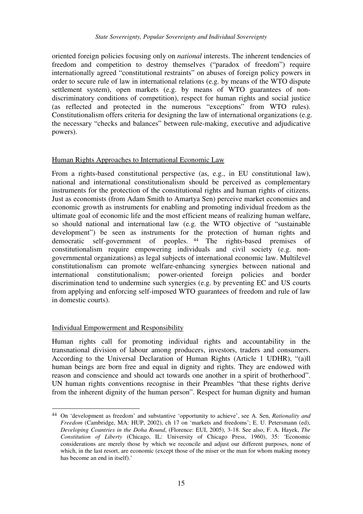oriented foreign policies focusing only on *national* interests. The inherent tendencies of freedom and competition to destroy themselves ("paradox of freedom") require internationally agreed "constitutional restraints" on abuses of foreign policy powers in order to secure rule of law in international relations (e.g. by means of the WTO dispute settlement system), open markets (e.g. by means of WTO guarantees of nondiscriminatory conditions of competition), respect for human rights and social justice (as reflected and protected in the numerous "exceptions" from WTO rules). Constitutionalism offers criteria for designing the law of international organizations (e.g. the necessary "checks and balances" between rule-making, executive and adjudicative powers).

## Human Rights Approaches to International Economic Law

From a rights-based constitutional perspective (as, e.g., in EU constitutional law), national and international constitutionalism should be perceived as complementary instruments for the protection of the constitutional rights and human rights of citizens. Just as economists (from Adam Smith to Amartya Sen) perceive market economies and economic growth as instruments for enabling and promoting individual freedom as the ultimate goal of economic life and the most efficient means of realizing human welfare, so should national and international law (e.g. the WTO objective of "sustainable development") be seen as instruments for the protection of human rights and democratic self-government of peoples. <sup>44</sup> The rights-based premises of constitutionalism require empowering individuals and civil society (e.g. nongovernmental organizations) as legal subjects of international economic law. Multilevel constitutionalism can promote welfare-enhancing synergies between national and international constitutionalism; power-oriented foreign policies and border discrimination tend to undermine such synergies (e.g. by preventing EC and US courts from applying and enforcing self-imposed WTO guarantees of freedom and rule of law in domestic courts).

## Individual Empowerment and Responsibility

j

Human rights call for promoting individual rights and accountability in the transnational division of labour among producers, investors, traders and consumers. According to the Universal Declaration of Human Rights (Article 1 UDHR), "(a)ll human beings are born free and equal in dignity and rights. They are endowed with reason and conscience and should act towards one another in a spirit of brotherhood". UN human rights conventions recognise in their Preambles "that these rights derive from the inherent dignity of the human person". Respect for human dignity and human

<sup>44</sup> On 'development as freedom' and substantive 'opportunity to achieve', see A. Sen, *Rationality and Freedom* (Cambridge, MA: HUP, 2002), ch 17 on 'markets and freedoms'; E. U. Petersmann (ed), *Developing Countries in the Doha Round*, (Florence: EUI, 2005), 3-18. See also, F. A. Hayek, *The Constitution of Liberty* (Chicago, IL: University of Chicago Press, 1960), 35: 'Economic considerations are merely those by which we reconcile and adjust our different purposes, none of which, in the last resort, are economic (except those of the miser or the man for whom making money has become an end in itself).'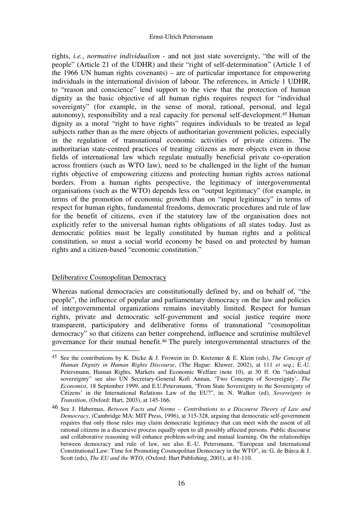rights, *i.e.*, *normative individualism* - and not just state sovereignty, "the will of the people" (Article 21 of the UDHR) and their "right of self-determination" (Article 1 of the 1966 UN human rights covenants) – are of particular importance for empowering individuals in the international division of labour. The references, in Article 1 UDHR, to "reason and conscience" lend support to the view that the protection of human dignity as the basic objective of all human rights requires respect for "individual sovereignty" (for example, in the sense of moral, rational, personal, and legal autonomy), responsibility and a real capacity for personal self-development.45 Human dignity as a moral "right to have rights" requires individuals to be treated as legal subjects rather than as the mere objects of authoritarian government policies, especially in the regulation of transnational economic activities of private citizens. The authoritarian state-centred practices of treating citizens as mere objects even in those fields of international law which regulate mutually beneficial private co-operation across frontiers (such as WTO law), need to be challenged in the light of the human rights objective of empowering citizens and protecting human rights across national borders. From a human rights perspective, the legitimacy of intergovernmental organisations (such as the WTO) depends less on "output legitimacy" (for example, in terms of the promotion of economic growth) than on "input legitimacy" in terms of respect for human rights, fundamental freedoms, democratic procedures and rule of law for the benefit of citizens, even if the statutory law of the organisation does not explicitly refer to the universal human rights obligations of all states today. Just as democratic polities must be legally constituted by human rights and a political constitution, so must a social world economy be based on and protected by human rights and a citizen-based "economic constitution."

## Deliberative Cosmopolitan Democracy

-

Whereas national democracies are constitutionally defined by, and on behalf of, "the people", the influence of popular and parliamentary democracy on the law and policies of intergovernmental organizations remains inevitably limited. Respect for human rights, private and democratic self-government and social justice require more transparent, participatory and deliberative forms of transnational "cosmopolitan democracy" so that citizens can better comprehend, influence and scrutinise multilevel governance for their mutual benefit.46 The purely intergovernmental structures of the

<sup>45</sup> See the contributions by K. Dicke & J. Frowein in: D. Kretzmer & E. Klein (eds), *The Concept of Human Dignity in Human Rights Discourse*, (The Hague: Kluwer, 2002), at 111 *et seq*.; E.-U. Petersmann, Human Rights, Markets and Economic Welfare (note 10), at 30 ff. On "individual sovereignty" see also UN Secretary-General Kofi Annan, 'Two Concepts of Sovereignty', *The Economist*, 18 September 1999, and E.U.Petersmann, "From State Sovereignty to the Sovereignty of Citizens' in the International Relations Law of the EU?", in: N. Walker (ed), *Sovereignty in Transition*, (Oxford: Hart, 2003), at 145-166.

<sup>46</sup> See J. Habermas, *Between Facts and Norms – Contributions to a Discourse Theory of Law and Democracy*, (Cambridge MA: MIT Press, 1996), at 315-328, arguing that democratic self-government requires that only those rules may claim democratic legitimacy that can meet with the assent of all rational citizens in a discursive process equally open to all possibly affected persons. Public discourse and collaborative reasoning will enhance problem-solving and mutual learning. On the relationships between democracy and rule of law, see also E.-U. Petersmann, "European and International Constitutional Law: Time for Promoting Cosmopolitan Democracy in the WTO", in: G. de Búrca & J. Scott (eds), *The EU and the WTO*, (Oxford: Hart Publishing, 2001), at 81-110.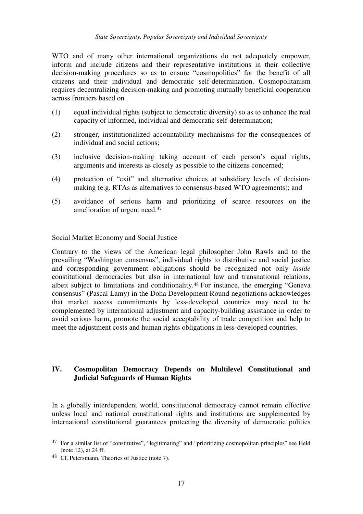WTO and of many other international organizations do not adequately empower, inform and include citizens and their representative institutions in their collective decision-making procedures so as to ensure "cosmopolitics" for the benefit of all citizens and their individual and democratic self-determination. Cosmopolitanism requires decentralizing decision-making and promoting mutually beneficial cooperation across frontiers based on

- (1) equal individual rights (subject to democratic diversity) so as to enhance the real capacity of informed, individual and democratic self-determination;
- (2) stronger, institutionalized accountability mechanisms for the consequences of individual and social actions;
- (3) inclusive decision-making taking account of each person's equal rights, arguments and interests as closely as possible to the citizens concerned;
- (4) protection of "exit" and alternative choices at subsidiary levels of decisionmaking (e.g. RTAs as alternatives to consensus-based WTO agreements); and
- (5) avoidance of serious harm and prioritizing of scarce resources on the amelioration of urgent need.<sup>47</sup>

## Social Market Economy and Social Justice

Contrary to the views of the American legal philosopher John Rawls and to the prevailing "Washington consensus", individual rights to distributive and social justice and corresponding government obligations should be recognized not only *inside* constitutional democracies but also in international law and transnational relations, albeit subject to limitations and conditionality.48 For instance, the emerging "Geneva consensus" (Pascal Lamy) in the Doha Development Round negotiations acknowledges that market access commitments by less-developed countries may need to be complemented by international adjustment and capacity-building assistance in order to avoid serious harm, promote the social acceptability of trade competition and help to meet the adjustment costs and human rights obligations in less-developed countries.

## **IV. Cosmopolitan Democracy Depends on Multilevel Constitutional and Judicial Safeguards of Human Rights**

In a globally interdependent world, constitutional democracy cannot remain effective unless local and national constitutional rights and institutions are supplemented by international constitutional guarantees protecting the diversity of democratic polities

<sup>47</sup> For a similar list of "constitutive", "legitimating" and "prioritizing cosmopolitan principles" see Held (note 12), at 24 ff.

<sup>48</sup> Cf. Petersmann, Theories of Justice (note 7).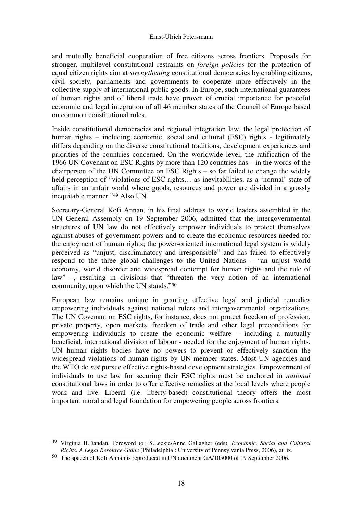and mutually beneficial cooperation of free citizens across frontiers. Proposals for stronger, multilevel constitutional restraints on *foreign policies* for the protection of equal citizen rights aim at *strengthening* constitutional democracies by enabling citizens, civil society, parliaments and governments to cooperate more effectively in the collective supply of international public goods. In Europe, such international guarantees of human rights and of liberal trade have proven of crucial importance for peaceful economic and legal integration of all 46 member states of the Council of Europe based on common constitutional rules.

Inside constitutional democracies and regional integration law, the legal protection of human rights – including economic, social and cultural (ESC) rights - legitimately differs depending on the diverse constitutional traditions, development experiences and priorities of the countries concerned. On the worldwide level, the ratification of the 1966 UN Covenant on ESC Rights by more than 120 countries has – in the words of the chairperson of the UN Committee on ESC Rights – so far failed to change the widely held perception of "violations of ESC rights... as inevitabilities, as a 'normal' state of affairs in an unfair world where goods, resources and power are divided in a grossly inequitable manner."49 Also UN

Secretary-General Kofi Annan, in his final address to world leaders assembled in the UN General Assembly on 19 September 2006, admitted that the intergovernmental structures of UN law do not effectively empower individuals to protect themselves against abuses of government powers and to create the economic resources needed for the enjoyment of human rights; the power-oriented international legal system is widely perceived as "unjust, discriminatory and irresponsible" and has failed to effectively respond to the three global challenges to the United Nations – "an unjust world economy, world disorder and widespread contempt for human rights and the rule of law" –, resulting in divisions that "threaten the very notion of an international community, upon which the UN stands."<sup>50</sup>

European law remains unique in granting effective legal and judicial remedies empowering individuals against national rulers and intergovernmental organizations. The UN Covenant on ESC rights, for instance, does not protect freedom of profession, private property, open markets, freedom of trade and other legal preconditions for empowering individuals to create the economic welfare – including a mutually beneficial, international division of labour - needed for the enjoyment of human rights. UN human rights bodies have no powers to prevent or effectively sanction the widespread violations of human rights by UN member states. Most UN agencies and the WTO do *not* pursue effective rights-based development strategies. Empowerment of individuals to use law for securing their ESC rights must be anchored in *national* constitutional laws in order to offer effective remedies at the local levels where people work and live. Liberal (i.e. liberty-based) constitutional theory offers the most important moral and legal foundation for empowering people across frontiers.

<sup>49</sup> Virginia B.Dandan, Foreword to : S.Leckie/Anne Gallagher (eds), *Economic, Social and Cultural Rights. A Legal Resource Guide* (Philadelphia : University of Pennsylvania Press, 2006), at ix.

<sup>50</sup> The speech of Kofi Annan is reproduced in UN document GA/105000 of 19 September 2006.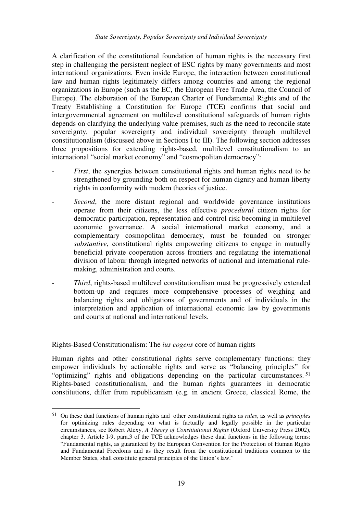A clarification of the constitutional foundation of human rights is the necessary first step in challenging the persistent neglect of ESC rights by many governments and most international organizations. Even inside Europe, the interaction between constitutional law and human rights legitimately differs among countries and among the regional organizations in Europe (such as the EC, the European Free Trade Area, the Council of Europe). The elaboration of the European Charter of Fundamental Rights and of the Treaty Establishing a Constitution for Europe (TCE) confirms that social and intergovernmental agreement on multilevel constitutional safeguards of human rights depends on clarifying the underlying value premises, such as the need to reconcile state sovereignty, popular sovereignty and individual sovereignty through multilevel constitutionalism (discussed above in Sections I to III). The following section addresses three propositions for extending rights-based, multilevel constitutionalism to an international "social market economy" and "cosmopolitan democracy":

- *First*, the synergies between constitutional rights and human rights need to be strengthened by grounding both on respect for human dignity and human liberty rights in conformity with modern theories of justice.
- *Second*, the more distant regional and worldwide governance institutions operate from their citizens, the less effective *procedural* citizen rights for democratic participation, representation and control risk becoming in multilevel economic governance. A social international market economy, and a complementary cosmopolitan democracy, must be founded on stronger *substantive*, constitutional rights empowering citizens to engage in mutually beneficial private cooperation across frontiers and regulating the international division of labour through integrted networks of national and international rulemaking, administration and courts.
- *Third*, rights-based multilevel constitutionalism must be progressively extended bottom-up and requires more comprehensive processes of weighing and balancing rights and obligations of governments and of individuals in the interpretation and application of international economic law by governments and courts at national and international levels.

## Rights-Based Constitutionalism: The *ius cogens* core of human rights

j

Human rights and other constitutional rights serve complementary functions: they empower individuals by actionable rights and serve as "balancing principles" for "optimizing" rights and obligations depending on the particular circumstances. <sup>51</sup> Rights-based constitutionalism, and the human rights guarantees in democratic constitutions, differ from republicanism (e.g. in ancient Greece, classical Rome, the

<sup>51</sup> On these dual functions of human rights and other constitutional rights as *rules*, as well as *principles* for optimizing rules depending on what is factually and legally possible in the particular circumstances, see Robert Alexy, *A Theory of Constitutional Rights* (Oxford University Press 2002), chapter 3. Article I-9, para.3 of the TCE acknowledges these dual functions in the following terms: "Fundamental rights, as guaranteed by the European Convention for the Protection of Human Rights and Fundamental Freedoms and as they result from the constitutional traditions common to the Member States, shall constitute general principles of the Union's law."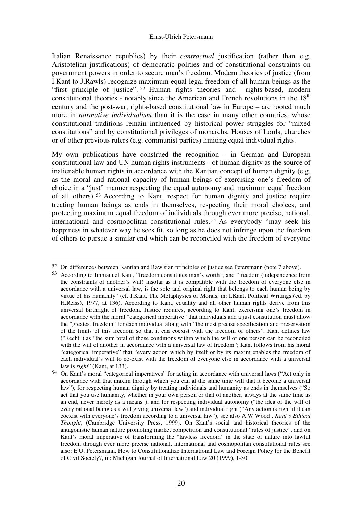Italian Renaissance republics) by their *contractual* justification (rather than e.g. Aristotelian justifications) of democratic polities and of constitutional constraints on government powers in order to secure man's freedom. Modern theories of justice (from I.Kant to J.Rawls) recognize maximum equal legal freedom of all human beings as the "first principle of justice". <sup>52</sup> Human rights theories and rights-based, modern constitutional theories - notably since the American and French revolutions in the  $18<sup>th</sup>$ century and the post-war, rights-based constitutional law in Europe – are rooted much more in *normative individualism* than it is the case in many other countries, whose constitutional traditions remain influenced by historical power struggles for "mixed constitutions" and by constitutional privileges of monarchs, Houses of Lords, churches or of other previous rulers (e.g. communist parties) limiting equal individual rights.

My own publications have construed the recognition – in German and European constitutional law and UN human rights instruments - of human dignity as the source of inalienable human rights in accordance with the Kantian concept of human dignity (e.g. as the moral and rational capacity of human beings of exercising one's freedom of choice in a "just" manner respecting the equal autonomy and maximum equal freedom of all others). <sup>53</sup> According to Kant, respect for human dignity and justice require treating human beings as ends in themselves, respecting their moral choices, and protecting maximum equal freedom of individuals through ever more precise, national, international and cosmopolitan constitutional rules. <sup>54</sup> As everybody "may seek his happiness in whatever way he sees fit, so long as he does not infringe upon the freedom of others to pursue a similar end which can be reconciled with the freedom of everyone

<sup>52</sup> On differences between Kantian and Rawlsian principles of justice see Petersmann (note 7 above).

<sup>53</sup> According to Immanuel Kant, "freedom constitutes man's worth", and "freedom (independence from the constraints of another's will) insofar as it is compatible with the freedom of everyone else in accordance with a universal law, is the sole and original right that belongs to each human being by virtue of his humanity" (cf. I.Kant, The Metaphysics of Morals, in: I.Kant, Political Writings (ed. by H.Reiss), 1977, at 136). According to Kant, equality and all other human rights derive from this universal birthright of freedom. Justice requires, according to Kant, exercising one's freedom in accordance with the moral "categorical imperative" that individuals and a just constitution must allow the "greatest freedom" for each individual along with "the most precise specification and preservation of the limits of this freedom so that it can coexist with the freedom of others". Kant defines law ("Recht") as "the sum total of those conditions within which the will of one person can be reconciled with the will of another in accordance with a universal law of freedom"; Kant follows from his moral "categorical imperative" that "every action which by itself or by its maxim enables the freedom of each individual's will to co-exist with the freedom of everyone else in accordance with a universal law is *right*" (Kant, at 133).

<sup>54</sup> On Kant's moral "categorical imperatives" for acting in accordance with universal laws ("Act only in accordance with that maxim through which you can at the same time will that it become a universal law"), for respecting human dignity by treating individuals and humanity as ends in themselves ("So act that you use humanity, whether in your own person or that of another, always at the same time as an end, never merely as a means"), and for respecting individual autonomy ("the idea of the will of every rational being as a will giving universal law") and individual right ("Any action is right if it can coexist with everyone's freedom according to a universal law"), see also A.W.Wood , *Kant's Ethical Thought*, (Cambridge University Press, 1999). On Kant's social and historical theories of the antagonistic human nature promoting market competition and constitutional "rules of justice", and on Kant's moral imperative of transforming the "lawless freedom" in the state of nature into lawful freedom through ever more precise national, international and cosmopolitan constitutional rules see also: E.U. Petersmann, How to Constitutionalize International Law and Foreign Policy for the Benefit of Civil Society?, in: Michigan Journal of International Law 20 (1999), 1-30.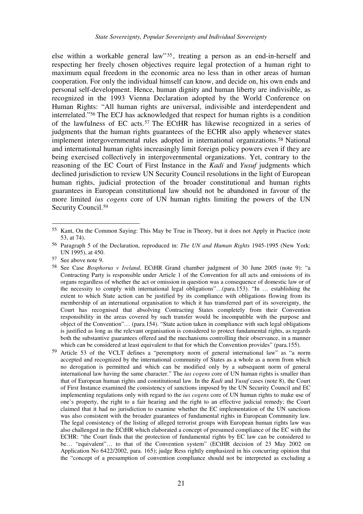else within a workable general law" <sup>55</sup> , treating a person as an end-in-herself and respecting her freely chosen objectives require legal protection of a human right to maximum equal freedom in the economic area no less than in other areas of human cooperation. For only the individual himself can know, and decide on, his own ends and personal self-development. Hence, human dignity and human liberty are indivisible, as recognized in the 1993 Vienna Declaration adopted by the World Conference on Human Rights: "All human rights are universal, indivisible and interdependent and interrelated."56 The ECJ has acknowledged that respect for human rights is a condition of the lawfulness of EC acts.57 The ECtHR has likewise recognized in a series of judgments that the human rights guarantees of the ECHR also apply whenever states implement intergovernmental rules adopted in international organizations. <sup>58</sup> National and international human rights increasingly limit foreign policy powers even if they are being exercised collectively in intergovernmental organizations. Yet, contrary to the reasoning of the EC Court of First Instance in the *Kadi* and *Yusuf* judgments which declined jurisdiction to review UN Security Council resolutions in the light of European human rights, judicial protection of the broader constitutional and human rights guarantees in European constitutional law should not be abandoned in favour of the more limited *ius cogens* core of UN human rights limiting the powers of the UN Security Council.<sup>59</sup>

<sup>55</sup> Kant, On the Common Saying: This May be True in Theory, but it does not Apply in Practice (note 53, at 74).

<sup>56</sup> Paragraph 5 of the Declaration, reproduced in: *The UN and Human Rights* 1945-1995 (New York: UN 1995), at 450.

<sup>57</sup> See above note 9.

<sup>58</sup> See Case *Bosphorus v Ireland*, ECtHR Grand chamber judgment of 30 June 2005 (note 9): "a Contracting Party is responsible under Article 1 of the Convention for all acts and omissions of its organs regardless of whether the act or omission in question was a consequence of domestic law or of the necessity to comply with international legal obligations"…(para.153). "In … establishing the extent to which State action can be justified by its compliance with obligations flowing from its membership of an international organisation to which it has transferred part of its sovereignty, the Court has recognised that absolving Contracting States completely from their Convention responsibility in the areas covered by such transfer would be incompatible with the purpose and object of the Convention"… (para.154). "State action taken in compliance with such legal obligations is justified as long as the relevant organisation is considered to protect fundamental rights, as regards both the substantive guarantees offered and the mechanisms controlling their observance, in a manner which can be considered at least equivalent to that for which the Convention provides" (para.155).

<sup>59</sup> Article 53 of the VCLT defines a "peremptory norm of general international law" as "a norm accepted and recognized by the international community of States as a whole as a norm from which no derogation is permitted and which can be modified only by a subsequent norm of general international law having the same character." The *ius cogens* core of UN human rights is smaller than that of European human rights and constitutional law. In the *Kadi* and *Yusuf* cases (note 8), the Court of First Instance examined the consistency of sanctions imposed by the UN Security Council and EC implementing regulations only with regard to the *ius cogens* core of UN human rights to make use of one's property, the right to a fair hearing and the right to an effective judicial remedy; the Court claimed that it had no jurisdiction to examine whether the EC implementation of the UN sanctions was also consistent with the broader guarantees of fundamental rights in European Community law. The legal consistency of the listing of alleged terrorist groups with European human rights law was also challenged in the ECtHR which elaborated a concept of presumed compliance of the EC with the ECHR: "the Court finds that the protection of fundamental rights by EC law can be considered to be… "equivalent"… to that of the Convention system" (ECtHR decision of 23 May 2002 on Application No 6422/2002, para. 165); judge Ress rightly emphasized in his concurring opinion that the "concept of a presumption of convention compliance should not be interpreted as excluding a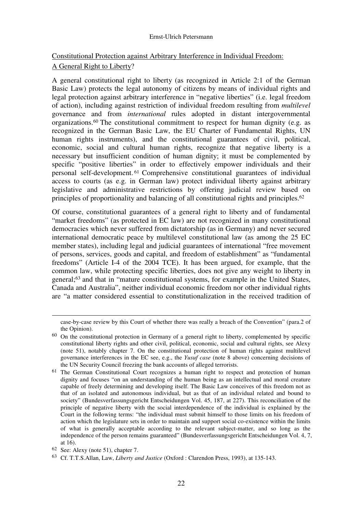## Constitutional Protection against Arbitrary Interference in Individual Freedom: A General Right to Liberty?

A general constitutional right to liberty (as recognized in Article 2:1 of the German Basic Law) protects the legal autonomy of citizens by means of individual rights and legal protection against arbitrary interference in "negative liberties" (i.e. legal freedom of action), including against restriction of individual freedom resulting from *multilevel* governance and from *international* rules adopted in distant intergovernmental organizations.60 The constitutional commitment to respect for human dignity (e.g. as recognized in the German Basic Law, the EU Charter of Fundamental Rights, UN human rights instruments), and the constitutional guarantees of civil, political, economic, social and cultural human rights, recognize that negative liberty is a necessary but insufficient condition of human dignity; it must be complemented by specific "positive liberties" in order to effectively empower individuals and their personal self-development. <sup>61</sup> Comprehensive constitutional guarantees of individual access to courts (as e.g. in German law) protect individual liberty against arbitrary legislative and administrative restrictions by offering judicial review based on principles of proportionality and balancing of all constitutional rights and principles.<sup>62</sup>

Of course, constitutional guarantees of a general right to liberty and of fundamental "market freedoms" (as protected in EC law) are not recognized in many constitutional democracies which never suffered from dictatorship (as in Germany) and never secured international democratic peace by multilevel constitutional law (as among the 25 EC member states), including legal and judicial guarantees of international "free movement of persons, services, goods and capital, and freedom of establishment" as "fundamental freedoms" (Article I-4 of the 2004 TCE). It has been argued, for example, that the common law, while protecting specific liberties, does not give any weight to liberty in general;63 and that in "mature constitutional systems, for example in the United States, Canada and Australia", neither individual economic freedom nor other individual rights are "a matter considered essential to constitutionalization in the received tradition of

case-by-case review by this Court of whether there was really a breach of the Convention" (para.2 of the Opinion).

 $60$  On the constitutional protection in Germany of a general right to liberty, complemented by specific constitutional liberty rights and other civil, political, economic, social and cultural rights, see Alexy (note 51), notably chapter 7. On the constitutional protection of human rights against multilevel governance interferences in the EC see, e.g., the *Yusuf case* (note 8 above) concerning decisions of the UN Security Council freezing the bank accounts of alleged terrorists.

<sup>&</sup>lt;sup>61</sup> The German Constitutional Court recognizes a human right to respect and protection of human dignity and focuses "on an understanding of the human being as an intellectual and moral creature capable of freely determining and developing itself. The Basic Law conceives of this freedom not as that of an isolated and autonomous individual, but as that of an individual related and bound to society" (Bundesverfassungsgericht Entscheidungen Vol. 45, 187, at 227). This reconciliation of the principle of negative liberty with the social interdependence of the individual is explained by the Court in the following terms: "the individual must submit himself to those limits on his freedom of action which the legislature sets in order to maintain and support social co-existence within the limits of what is generally acceptable according to the relevant subject-matter, and so long as the independence of the person remains guaranteed" (Bundesverfassungsgericht Entscheidungen Vol. 4, 7, at 16).

<sup>62</sup> See: Alexy (note 51), chapter 7.

<sup>63</sup> Cf. T.T.S.Allan, Law, *Liberty and Justice* (Oxford : Clarendon Press, 1993), at 135-143.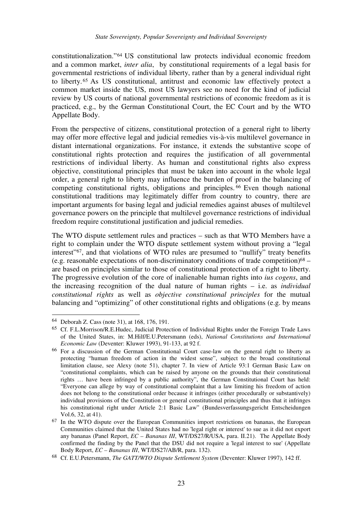constitutionalization."64 US constitutional law protects individual economic freedom and a common market, *inter alia*, by constitutional requirements of a legal basis for governmental restrictions of individual liberty, rather than by a general individual right to liberty. <sup>65</sup> As US constitutional, antitrust and economic law effectively protect a common market inside the US, most US lawyers see no need for the kind of judicial review by US courts of national governmental restrictions of economic freedom as it is practiced, e.g., by the German Constitutional Court, the EC Court and by the WTO Appellate Body.

From the perspective of citizens, constitutional protection of a general right to liberty may offer more effective legal and judicial remedies vis-à-vis multilevel governance in distant international organizations. For instance, it extends the substantive scope of constitutional rights protection and requires the justification of all governmental restrictions of individual liberty. As human and constitutional rights also express objective, constitutional principles that must be taken into account in the whole legal order, a general right to liberty may influence the burden of proof in the balancing of competing constitutional rights, obligations and principles. <sup>66</sup> Even though national constitutional traditions may legitimately differ from country to country, there are important arguments for basing legal and judicial remedies against abuses of multilevel governance powers on the principle that multilevel governance restrictions of individual freedom require constitutional justification and judicial remedies.

The WTO dispute settlement rules and practices – such as that WTO Members have a right to complain under the WTO dispute settlement system without proving a "legal interest"67, and that violations of WTO rules are presumed to "nullify" treaty benefits (e.g. reasonable expectations of non-discriminatory conditions of trade competition) $68$ are based on principles similar to those of constitutional protection of a right to liberty. The progressive evolution of the core of inalienable human rights into *ius cogens*, and the increasing recognition of the dual nature of human rights – i.e. as *individual constitutional rights* as well as *objective constitutional principles* for the mutual balancing and "optimizing" of other constitutional rights and obligations (e.g. by means

<sup>64</sup> Deborah Z. Cass (note 31), at 168, 176, 191.

<sup>65</sup> Cf. F.L.Morrison/R.E.Hudec, Judicial Protection of Individual Rights under the Foreign Trade Laws of the United States, in: M.Hilf/E.U.Petersmann (eds), *National Constitutions and International Economic Law* (Deventer: Kluwer 1993), 91-133, at 92 f.

<sup>66</sup> For a discussion of the German Constitutional Court case-law on the general right to liberty as protecting "human freedom of action in the widest sense", subject to the broad constitutional limitation clause, see Alexy (note 51), chapter 7. In view of Article 93:1 German Basic Law on "constitutional complaints, which can be raised by anyone on the grounds that their constitutional rights … have been infringed by a public authority", the German Constitutional Court has held: "Everyone can allege by way of constitutional complaint that a law limiting his freedom of action does not belong to the constitutional order because it infringes (either procedurally or substantively) individual provisions of the Constitution or general constitutional principles and thus that it infringes his constitutional right under Article 2:1 Basic Law" (Bundesverfassungsgericht Entscheidungen Vol.6, 32, at 41).

<sup>67</sup> In the WTO dispute over the European Communities import restrictions on bananas, the European Communities claimed that the United States had no 'legal right or interest' to sue as it did not export any bananas (Panel Report, *EC – Bananas III*, WT/DS27/R/USA, para. II.21). The Appellate Body confirmed the finding by the Panel that the DSU did not require a 'legal interest to sue' (Appellate Body Report, *EC – Bananas III*, WT/DS27/AB/R, para. 132).

<sup>68</sup> Cf. E.U.Petersmann, *The GATT/WTO Dispute Settlement System* (Deventer: Kluwer 1997), 142 ff.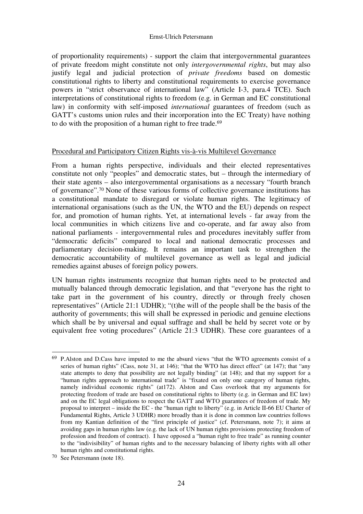of proportionality requirements) - support the claim that intergovernmental guarantees of private freedom might constitute not only *intergovernmental rights*, but may also justify legal and judicial protection of *private freedoms* based on domestic constitutional rights to liberty and constitutional requirements to exercise governance powers in "strict observance of international law" (Article I-3, para.4 TCE). Such interpretations of constitutional rights to freedom (e.g. in German and EC constitutional law) in conformity with self-imposed *international* guarantees of freedom (such as GATT's customs union rules and their incorporation into the EC Treaty) have nothing to do with the proposition of a human right to free trade.<sup>69</sup>

## Procedural and Participatory Citizen Rights vis-à-vis Multilevel Governance

From a human rights perspective, individuals and their elected representatives constitute not only "peoples" and democratic states, but – through the intermediary of their state agents – also intergovernmental organisations as a necessary "fourth branch of governance".70 None of these various forms of collective governance institutions has a constitutional mandate to disregard or violate human rights. The legitimacy of international organisations (such as the UN, the WTO and the EU) depends on respect for, and promotion of human rights. Yet, at international levels - far away from the local communities in which citizens live and co-operate, and far away also from national parliaments - intergovernmental rules and procedures inevitably suffer from "democratic deficits" compared to local and national democratic processes and parliamentary decision-making. It remains an important task to strengthen the democratic accountability of multilevel governance as well as legal and judicial remedies against abuses of foreign policy powers.

UN human rights instruments recognize that human rights need to be protected and mutually balanced through democratic legislation, and that "everyone has the right to take part in the government of his country, directly or through freely chosen representatives" (Article 21:1 UDHR); "(t)he will of the people shall be the basis of the authority of governments; this will shall be expressed in periodic and genuine elections which shall be by universal and equal suffrage and shall be held by secret vote or by equivalent free voting procedures" (Article 21:3 UDHR). These core guarantees of a

<sup>69</sup> P.Alston and D.Cass have imputed to me the absurd views "that the WTO agreements consist of a series of human rights" (Cass, note 31, at 146); "that the WTO has direct effect" (at 147); that "any state attempts to deny that possibility are not legally binding" (at 148); and that my support for a "human rights approach to international trade" is "fixated on only one category of human rights, namely individual economic rights" (at172). Alston and Cass overlook that my arguments for protecting freedom of trade are based on constitutional rights to liberty (e.g. in German and EC law) and on the EC legal obligations to respect the GATT and WTO guarantees of freedom of trade. My proposal to interpret – inside the EC - the "human right to liberty" (e.g. in Article II-66 EU Charter of Fundamental Rights, Article 3 UDHR) more broadly than it is done in common law countries follows from my Kantian definition of the "first principle of justice" (cf. Petersmann, note 7); it aims at avoiding gaps in human rights law (e.g. the lack of UN human rights provisions protecting freedom of profession and freedom of contract). I have opposed a "human right to free trade" as running counter to the "indivisibility" of human rights and to the necessary balancing of liberty rights with all other human rights and constitutional rights.

<sup>70</sup> See Petersmann (note 18).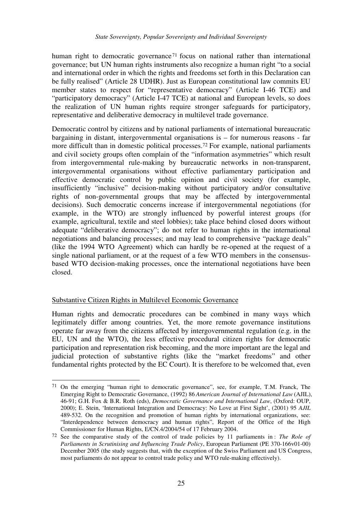human right to democratic governance<sup>71</sup> focus on national rather than international governance; but UN human rights instruments also recognize a human right "to a social and international order in which the rights and freedoms set forth in this Declaration can be fully realised" (Article 28 UDHR). Just as European constitutional law commits EU member states to respect for "representative democracy" (Article I-46 TCE) and "participatory democracy" (Article I-47 TCE) at national and European levels, so does the realization of UN human rights require stronger safeguards for participatory, representative and deliberative democracy in multilevel trade governance.

Democratic control by citizens and by national parliaments of international bureaucratic bargaining in distant, intergovernmental organisations is – for numerous reasons - far more difficult than in domestic political processes.<sup>72</sup> For example, national parliaments and civil society groups often complain of the "information asymmetries" which result from intergovernmental rule-making by bureaucratic networks in non-transparent, intergovernmental organisations without effective parliamentary participation and effective democratic control by public opinion and civil society (for example, insufficiently "inclusive" decision-making without participatory and/or consultative rights of non-governmental groups that may be affected by intergovernmental decisions). Such democratic concerns increase if intergovernmental negotiations (for example, in the WTO) are strongly influenced by powerful interest groups (for example, agricultural, textile and steel lobbies); take place behind closed doors without adequate "deliberative democracy"; do not refer to human rights in the international negotiations and balancing processes; and may lead to comprehensive "package deals" (like the 1994 WTO Agreement) which can hardly be re-opened at the request of a single national parliament, or at the request of a few WTO members in the consensusbased WTO decision-making processes, once the international negotiations have been closed.

## Substantive Citizen Rights in Multilevel Economic Governance

-

Human rights and democratic procedures can be combined in many ways which legitimately differ among countries. Yet, the more remote governance institutions operate far away from the citizens affected by intergovernmental regulation (e.g. in the EU, UN and the WTO), the less effective procedural citizen rights for democratic participation and representation risk becoming, and the more important are the legal and judicial protection of substantive rights (like the "market freedoms" and other fundamental rights protected by the EC Court). It is therefore to be welcomed that, even

<sup>71</sup> On the emerging "human right to democratic governance", see, for example, T.M. Franck, The Emerging Right to Democratic Governance, (1992) 86 *American Journal of International Law* (AJIL), 46-91; G.H. Fox & B.R. Roth (eds), *Democratic Governance and International Law*, (Oxford: OUP, 2000); E. Stein, 'International Integration and Democracy: No Love at First Sight', (2001) 95 *AJIL* 489-532. On the recognition and promotion of human rights by international organizations, see: "Interdependence between democracy and human rights", Report of the Office of the High Commissioner for Human Rights, E/CN.4/2004/54 of 17 February 2004.

<sup>72</sup> See the comparative study of the control of trade policies by 11 parliaments in : *The Role of Parliaments in Scrutinising and Influencing Trade Policy*, European Parliament (PE 370-166v01-00) December 2005 (the study suggests that, with the exception of the Swiss Parliament and US Congress, most parliaments do not appear to control trade policy and WTO rule-making effectively).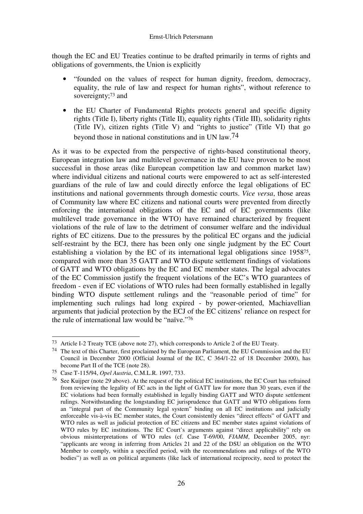though the EC and EU Treaties continue to be drafted primarily in terms of rights and obligations of governments, the Union is explicitly

- "founded on the values of respect for human dignity, freedom, democracy, equality, the rule of law and respect for human rights", without reference to sovereignty;<sup>73</sup> and
- the EU Charter of Fundamental Rights protects general and specific dignity rights (Title I), liberty rights (Title II), equality rights (Title III), solidarity rights (Title IV), citizen rights (Title V) and "rights to justice" (Title VI) that go beyond those in national constitutions and in UN law.74

As it was to be expected from the perspective of rights-based constitutional theory, European integration law and multilevel governance in the EU have proven to be most successful in those areas (like European competition law and common market law) where individual citizens and national courts were empowered to act as self-interested guardians of the rule of law and could directly enforce the legal obligations of EC institutions and national governments through domestic courts. *Vice versa*, those areas of Community law where EC citizens and national courts were prevented from directly enforcing the international obligations of the EC and of EC governments (like multilevel trade governance in the WTO) have remained characterized by frequent violations of the rule of law to the detriment of consumer welfare and the individual rights of EC citizens. Due to the pressures by the political EC organs and the judicial self-restraint by the ECJ, there has been only one single judgment by the EC Court establishing a violation by the EC of its international legal obligations since 195875, compared with more than 35 GATT and WTO dispute settlement findings of violations of GATT and WTO obligations by the EC and EC member states. The legal advocates of the EC Commission justify the frequent violations of the EC's WTO guarantees of freedom - even if EC violations of WTO rules had been formally established in legally binding WTO dispute settlement rulings and the "reasonable period of time" for implementing such rulings had long expired - by power-oriented, Machiavellian arguments that judicial protection by the ECJ of the EC citizens' reliance on respect for the rule of international law would be "naïve."<sup>76</sup>

l

<sup>73</sup> Article I-2 Treaty TCE (above note 27), which corresponds to Article 2 of the EU Treaty.

<sup>74</sup> The text of this Charter, first proclaimed by the European Parliament, the EU Commission and the EU Council in December 2000 (Official Journal of the EC, C 364/1-22 of 18 December 2000), has become Part II of the TCE (note 28).

<sup>75</sup> Case T-115/94, *Opel Austria*, C.M.L.R. 1997, 733.

<sup>76</sup> See Kuijper (note 29 above). At the request of the political EC institutions, the EC Court has refrained from reviewing the legality of EC acts in the light of GATT law for more than 30 years, even if the EC violations had been formally established in legally binding GATT and WTO dispute settlement rulings. Notwithstanding the longstanding EC jurisprudence that GATT and WTO obligations form an "integral part of the Community legal system" binding on all EC institutions and judicially enforceable vis-à-vis EC member states, the Court consistently denies "direct effects" of GATT and WTO rules as well as judicial protection of EC citizens and EC member states against violations of WTO rules by EC institutions. The EC Court's arguments against "direct applicability" rely on obvious misinterpretations of WTO rules (cf. Case T-69/00, *FIAMM*, December 2005, nyr: "applicants are wrong in inferring from Articles 21 and 22 of the DSU an obligation on the WTO Member to comply, within a specified period, with the recommendations and rulings of the WTO bodies") as well as on political arguments (like lack of international reciprocity, need to protect the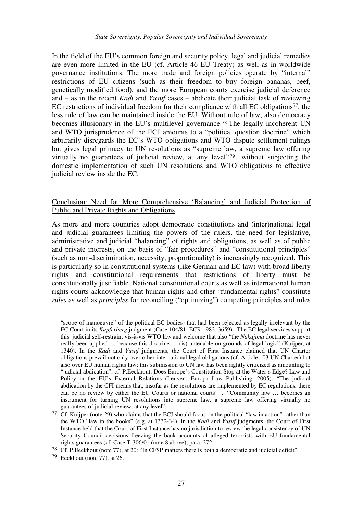In the field of the EU's common foreign and security policy, legal and judicial remedies are even more limited in the EU (cf. Article 46 EU Treaty) as well as in worldwide governance institutions. The more trade and foreign policies operate by "internal" restrictions of EU citizens (such as their freedom to buy foreign bananas, beef, genetically modified food), and the more European courts exercise judicial deference and – as in the recent *Kadi* and *Yusuf* cases – abdicate their judicial task of reviewing EC restrictions of individual freedom for their compliance with all EC obligations<sup>77</sup>, the less rule of law can be maintained inside the EU. Without rule of law, also democracy becomes illusionary in the EU's multilevel governance.78 The legally incoherent UN and WTO jurisprudence of the ECJ amounts to a "political question doctrine" which arbitrarily disregards the EC's WTO obligations and WTO dispute settlement rulings but gives legal primacy to UN resolutions as "supreme law, a supreme law offering virtually no guarantees of judicial review, at any level<sup>"79</sup>, without subjecting the domestic implementation of such UN resolutions and WTO obligations to effective judicial review inside the EC.

## Conclusion: Need for More Comprehensive 'Balancing' and Judicial Protection of Public and Private Rights and Obligations

As more and more countries adopt democratic constitutions and (inter)national legal and judicial guarantees limiting the powers of the rulers, the need for legislative, administrative and judicial "balancing" of rights and obligations, as well as of public and private interests, on the basis of "fair procedures" and "constitutional principles" (such as non-discrimination, necessity, proportionality) is increasingly recognized. This is particularly so in constitutional systems (like German and EC law) with broad liberty rights and constitutional requirements that restrictions of liberty must be constitutionally justifiable. National constitutional courts as well as international human rights courts acknowledge that human rights and other "fundamental rights" constitute *rules* as well as *principles* for reconciling ("optimizing") competing principles and rules

<sup>&</sup>quot;scope of manoeuvre" of the political EC bodies) that had been rejected as legally irrelevant by the EC Court in its *Kupferberg* judgment (Case 104/81, ECR 1982, 3659). The EC legal services support this judicial self-restraint vis-à-vis WTO law and welcome that also "the *Nakajima* doctrine has never really been applied … because this doctrine … (is) untenable on grounds of legal logic" (Kuijper, at 1340). In the *Kadi* and *Yusuf* judgments, the Court of First Instance claimed that UN Charter obligations prevail not only over other international legal obligations (cf. Article 103 UN Charter) but also over EU human rights law; this submission to UN law has been rightly criticized as amounting to "judicial abdication", cf. P.Eeckhout, Does Europe's Constitution Stop at the Water's Edge? Law and Policy in the EU's External Relations (Leuven: Europa Law Publishing, 2005): "The judicial abdication by the CFI means that, insofar as the resolutions are implemented by EC regulations, there can be no review by either the EU Courts or national courts" ... "Community law … becomes an instrument for turning UN resolutions into supreme law, a supreme law offering virtually no guarantees of judicial review, at any level".

<sup>77</sup> Cf. Kuijper (note 29) who claims that the ECJ should focus on the political "law in action" rather than the WTO "law in the books" (e.g. at 1332-34). In the *Kadi* and *Yusuf* judgments, the Court of First Instance held that the Court of First Instance has no jurisdiction to review the legal consistency of UN Security Council decisions freezing the bank accounts of alleged terrorists with EU fundamental rights guarantees (cf. Case T-306/01 (note 8 above), para. 272.

<sup>78</sup> Cf. P.Eeckhout (note 77), at 20: "In CFSP matters there is both a democratic and judicial deficit".

<sup>79</sup> Eeckhout (note 77), at 26.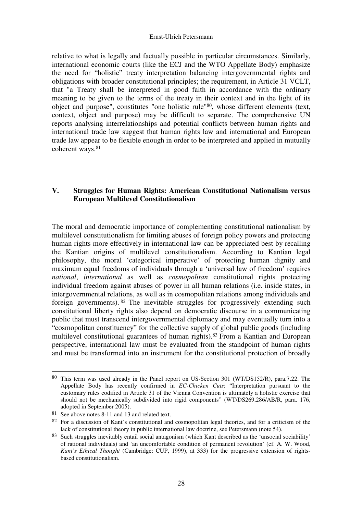relative to what is legally and factually possible in particular circumstances. Similarly, international economic courts (like the ECJ and the WTO Appellate Body) emphasize the need for "holistic" treaty interpretation balancing intergovernmental rights and obligations with broader constitutional principles; the requirement, in Article 31 VCLT, that "a Treaty shall be interpreted in good faith in accordance with the ordinary meaning to be given to the terms of the treaty in their context and in the light of its object and purpose", constitutes "one holistic rule"80, whose different elements (text, context, object and purpose) may be difficult to separate. The comprehensive UN reports analysing interrelationships and potential conflicts between human rights and international trade law suggest that human rights law and international and European trade law appear to be flexible enough in order to be interpreted and applied in mutually coherent ways.<sup>81</sup>

## **V. Struggles for Human Rights: American Constitutional Nationalism versus European Multilevel Constitutionalism**

The moral and democratic importance of complementing constitutional nationalism by multilevel constitutionalism for limiting abuses of foreign policy powers and protecting human rights more effectively in international law can be appreciated best by recalling the Kantian origins of multilevel constitutionalism. According to Kantian legal philosophy, the moral 'categorical imperative' of protecting human dignity and maximum equal freedoms of individuals through a 'universal law of freedom' requires *national*, *international* as well as *cosmopolitan* constitutional rights protecting individual freedom against abuses of power in all human relations (i.e. inside states, in intergovernmental relations, as well as in cosmopolitan relations among individuals and foreign governments). <sup>82</sup> The inevitable struggles for progressively extending such constitutional liberty rights also depend on democratic discourse in a communicating public that must transcend intergovernmental diplomacy and may eventually turn into a "cosmopolitan constituency" for the collective supply of global public goods (including multilevel constitutional guarantees of human rights).83 From a Kantian and European perspective, international law must be evaluated from the standpoint of human rights and must be transformed into an instrument for the constitutional protection of broadly

<sup>80</sup> This term was used already in the Panel report on US-Section 301 (WT/DS152/R), para.7.22. The Appellate Body has recently confirmed in *EC-Chicken Cuts*: "Interpretation pursuant to the customary rules codified in Article 31 of the Vienna Convention is ultimately a holistic exercise that should not be mechanically subdivided into rigid components" (WT/DS269,286/AB/R, para. 176, adopted in September 2005).

<sup>81</sup> See above notes 8-11 and 13 and related text.

<sup>82</sup> For a discussion of Kant's constitutional and cosmopolitan legal theories, and for a criticism of the lack of constitutional theory in public international law doctrine, see Petersmann (note 54).

<sup>83</sup> Such struggles inevitably entail social antagonism (which Kant described as the 'unsocial sociability' of rational individuals) and 'an uncomfortable condition of permanent revolution' (cf. A. W. Wood, *Kant's Ethical Thought* (Cambridge: CUP, 1999), at 333) for the progressive extension of rightsbased constitutionalism.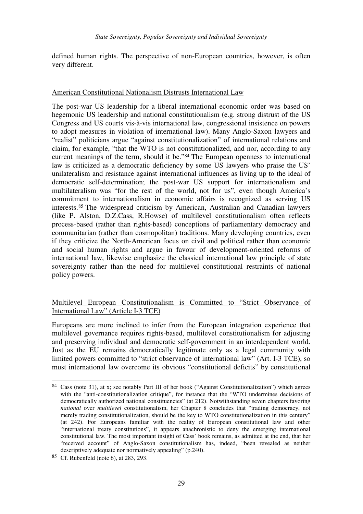defined human rights. The perspective of non-European countries, however, is often very different.

### American Constitutional Nationalism Distrusts International Law

The post-war US leadership for a liberal international economic order was based on hegemonic US leadership and national constitutionalism (e.g. strong distrust of the US Congress and US courts vis-à-vis international law, congressional insistence on powers to adopt measures in violation of international law). Many Anglo-Saxon lawyers and "realist" politicians argue "against constitutionalization" of international relations and claim, for example, "that the WTO is not constitutionalized, and nor, according to any current meanings of the term, should it be."84 The European openness to international law is criticized as a democratic deficiency by some US lawyers who praise the US' unilateralism and resistance against international influences as living up to the ideal of democratic self-determination; the post-war US support for internationalism and multilateralism was "for the rest of the world, not for us", even though America's commitment to internationalism in economic affairs is recognized as serving US interests.85 The widespread criticism by American, Australian and Canadian lawyers (like P. Alston, D.Z.Cass, R.Howse) of multilevel constitutionalism often reflects process-based (rather than rights-based) conceptions of parliamentary democracy and communitarian (rather than cosmopolitan) traditions. Many developing countries, even if they criticize the North-American focus on civil and political rather than economic and social human rights and argue in favour of development-oriented reforms of international law, likewise emphasize the classical international law principle of state sovereignty rather than the need for multilevel constitutional restraints of national policy powers.

## Multilevel European Constitutionalism is Committed to "Strict Observance of International Law" (Article I-3 TCE)

Europeans are more inclined to infer from the European integration experience that multilevel governance requires rights-based, multilevel constitutionalism for adjusting and preserving individual and democratic self-government in an interdependent world. Just as the EU remains democratically legitimate only as a legal community with limited powers committed to "strict observance of international law" (Art. I-3 TCE), so must international law overcome its obvious "constitutional deficits" by constitutional

<sup>84</sup> Cass (note 31), at x; see notably Part III of her book ("Against Constitutionalization") which agrees with the "anti-constitutionalization critique", for instance that the "WTO undermines decisions of democratically authorized national constituencies" (at 212). Notwithstanding seven chapters favoring *national* over *multilevel* constitutionalism, her Chapter 8 concludes that "trading democracy, not merely trading constitutionalization, should be the key to WTO constitutionalization in this century" (at 242). For Europeans familiar with the reality of European constitutional law and other "international treaty constitutions", it appears anachronistic to deny the emerging international constitutional law. The most important insight of Cass' book remains, as admitted at the end, that her "received account" of Anglo-Saxon constitutionalism has, indeed, "been revealed as neither descriptively adequate nor normatively appealing" (p.240).

<sup>85</sup> Cf. Rubenfeld (note 6), at 283, 293.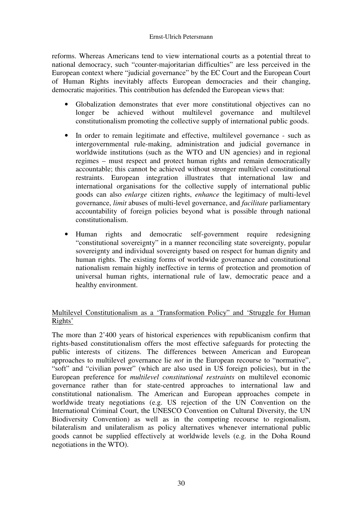reforms. Whereas Americans tend to view international courts as a potential threat to national democracy, such "counter-majoritarian difficulties" are less perceived in the European context where "judicial governance" by the EC Court and the European Court of Human Rights inevitably affects European democracies and their changing, democratic majorities. This contribution has defended the European views that:

- Globalization demonstrates that ever more constitutional objectives can no longer be achieved without multilevel governance and multilevel constitutionalism promoting the collective supply of international public goods.
- In order to remain legitimate and effective, multilevel governance such as intergovernmental rule-making, administration and judicial governance in worldwide institutions (such as the WTO and UN agencies) and in regional regimes – must respect and protect human rights and remain democratically accountable; this cannot be achieved without stronger multilevel constitutional restraints. European integration illustrates that international law and international organisations for the collective supply of international public goods can also *enlarge* citizen rights, *enhance* the legitimacy of multi-level governance, *limit* abuses of multi-level governance, and *facilitate* parliamentary accountability of foreign policies beyond what is possible through national constitutionalism.
- Human rights and democratic self-government require redesigning "constitutional sovereignty" in a manner reconciling state sovereignty, popular sovereignty and individual sovereignty based on respect for human dignity and human rights. The existing forms of worldwide governance and constitutional nationalism remain highly ineffective in terms of protection and promotion of universal human rights, international rule of law, democratic peace and a healthy environment.

## Multilevel Constitutionalism as a 'Transformation Policy" and 'Struggle for Human Rights'

The more than 2'400 years of historical experiences with republicanism confirm that rights-based constitutionalism offers the most effective safeguards for protecting the public interests of citizens. The differences between American and European approaches to multilevel governance lie *not* in the European recourse to "normative", "soft" and "civilian power" (which are also used in US foreign policies), but in the European preference for *multilevel constitutional restraints* on multilevel economic governance rather than for state-centred approaches to international law and constitutional nationalism. The American and European approaches compete in worldwide treaty negotiations (e.g. US rejection of the UN Convention on the International Criminal Court, the UNESCO Convention on Cultural Diversity, the UN Biodiversity Convention) as well as in the competing recourse to regionalism, bilateralism and unilateralism as policy alternatives whenever international public goods cannot be supplied effectively at worldwide levels (e.g. in the Doha Round negotiations in the WTO).